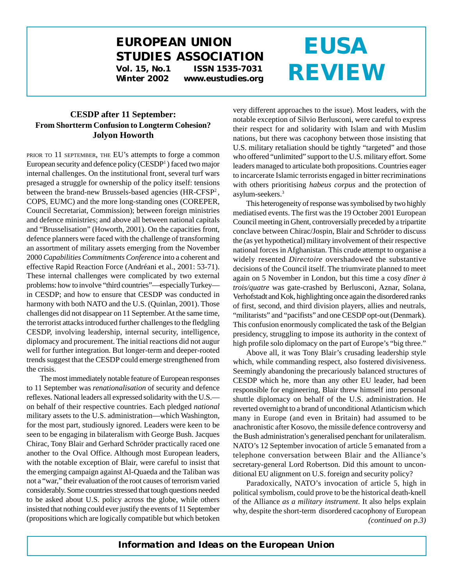# **EUROPEAN UNION STUDIES ASSOCIATION**

**Vol. 15, No.1 ISSN 1535-7031 Winter 2002 www.eustudies.org**

**EUSA REVIEW**

# **CESDP after 11 September: From Shortterm Confusion to Longterm Cohesion? Jolyon Howorth**

PRIOR TO 11 SEPTEMBER, THE EU's attempts to forge a common European security and defence policy  $(CESDP<sup>1</sup>)$  faced two major internal challenges. On the institutional front, several turf wars presaged a struggle for ownership of the policy itself: tensions between the brand-new Brussels-based agencies (HR-CFSP2 , COPS, EUMC) and the more long-standing ones (COREPER, Council Secretariat, Commission); between foreign ministries and defence ministries; and above all between national capitals and "Brusselisation" (Howorth, 2001). On the capacities front, defence planners were faced with the challenge of transforming an assortment of military assets emerging from the November 2000 *Capabilities Commitments Conference* into a coherent and effective Rapid Reaction Force (Andréani et al., 2001: 53-71). These internal challenges were complicated by two external problems: how to involve "third countries"—especially Turkey in CESDP; and how to ensure that CESDP was conducted in harmony with both NATO and the U.S. (Quinlan, 2001). Those challenges did not disappear on 11 September. At the same time, the terrorist attacks introduced further challenges to the fledgling CESDP, involving leadership, internal security, intelligence, diplomacy and procurement. The initial reactions did not augur well for further integration. But longer-term and deeper-rooted trends suggest that the CESDP could emerge strengthened from the crisis.

The most immediately notable feature of European responses to 11 September was *renationalisation* of security and defence reflexes. National leaders all expressed solidarity with the U.S. on behalf of their respective countries. Each pledged *national* military assets to the U.S. administration—which Washington, for the most part, studiously ignored. Leaders were keen to be seen to be engaging in bilateralism with George Bush. Jacques Chirac, Tony Blair and Gerhard Schröder practically raced one another to the Oval Office. Although most European leaders, with the notable exception of Blair, were careful to insist that the emerging campaign against Al-Quaeda and the Taliban was not a "war," their evaluation of the root causes of terrorism varied considerably. Some countries stressed that tough questions needed to be asked about U.S. policy across the globe, while others insisted that nothing could ever justify the events of 11 September (propositions which are logically compatible but which betoken very different approaches to the issue). Most leaders, with the notable exception of Silvio Berlusconi, were careful to express their respect for and solidarity with Islam and with Muslim nations, but there was cacophony between those insisting that U.S. military retaliation should be tightly "targeted" and those who offered "unlimited" support to the U.S. military effort. Some leaders managed to articulate both propositions. Countries eager to incarcerate Islamic terrorists engaged in bitter recriminations with others prioritising *habeus corpus* and the protection of asylum-seekers.3

This heterogeneity of response was symbolised by two highly mediatised events. The first was the 19 October 2001 European Council meeting in Ghent, controversially preceded by a tripartite conclave between Chirac/Jospin, Blair and Schröder to discuss the (as yet hypothetical) military involvement of their respective national forces in Afghanistan. This crude attempt to organise a widely resented *Directoire* overshadowed the substantive decisions of the Council itself. The triumvirate planned to meet again on 5 November in London, but this time a cosy *dîner à trois/quatre* was gate-crashed by Berlusconi, Aznar, Solana, Verhofstadt and Kok, highlighting once again the disordered ranks of first, second, and third division players, allies and neutrals, "militarists" and "pacifists" and one CESDP opt-out (Denmark). This confusion enormously complicated the task of the Belgian presidency, struggling to impose its authority in the context of high profile solo diplomacy on the part of Europe's "big three."

Above all, it was Tony Blair's crusading leadership style which, while commanding respect, also fostered divisiveness. Seemingly abandoning the precariously balanced structures of CESDP which he, more than any other EU leader, had been responsible for engineering, Blair threw himself into personal shuttle diplomacy on behalf of the U.S. administration. He reverted overnight to a brand of unconditional Atlanticism which many in Europe (and even in Britain) had assumed to be anachronistic after Kosovo, the missile defence controversy and the Bush administration's generalised penchant for unilateralism. NATO's 12 September invocation of article 5 emanated from a telephone conversation between Blair and the Alliance's secretary-general Lord Robertson. Did this amount to unconditional EU alignment on U.S. foreign and security policy?

Paradoxically, NATO's invocation of article 5, high in political symbolism, could prove to be the historical death-knell of the Alliance *as a military instrument*. It also helps explain why, despite the short-term disordered cacophony of European  *(continued on p.3)*

*Information and Ideas on the European Union*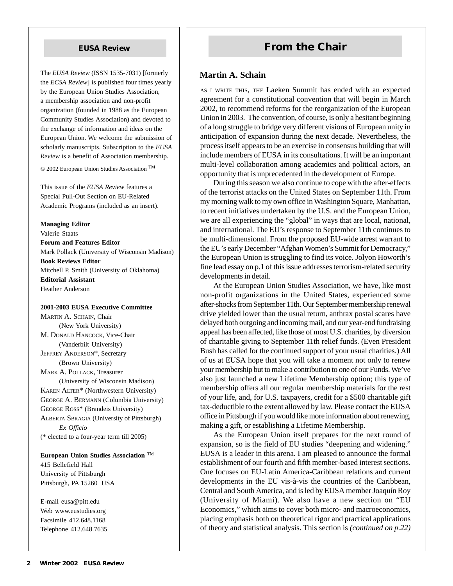The *EUSA Review* (ISSN 1535-7031) [formerly the *ECSA Review*] is published four times yearly by the European Union Studies Association, a membership association and non-profit organization (founded in 1988 as the European Community Studies Association) and devoted to the exchange of information and ideas on the European Union. We welcome the submission of scholarly manuscripts. Subscription to the *EUSA Review* is a benefit of Association membership.

© 2002 European Union Studies Association

This issue of the *EUSA Review* features a Special Pull-Out Section on EU-Related Academic Programs (included as an insert).

**Managing Editor** Valerie Staats **Forum and Features Editor** Mark Pollack (University of Wisconsin Madison) **Book Reviews Editor** Mitchell P. Smith (University of Oklahoma) **Editorial Assistant** Heather Anderson

#### **2001-2003 EUSA Executive Committee**

MARTIN A. SCHAIN, Chair (New York University) M. DONALD HANCOCK, Vice-Chair (Vanderbilt University) JEFFREY ANDERSON\*, Secretary (Brown University) MARK A. POLLACK, Treasurer (University of Wisconsin Madison) KAREN ALTER\* (Northwestern University) GEORGE A. BERMANN (Columbia University) GEORGE ROSS\* (Brandeis University) ALBERTA SBRAGIA (University of Pittsburgh) *Ex Officio* (\* elected to a four-year term till 2005)

**European Union Studies Association**  415 Bellefield Hall University of Pittsburgh Pittsburgh, PA 15260 USA

E-mail eusa@pitt.edu Web www.eustudies.org Facsimile 412.648.1168 Telephone 412.648.7635

# **EUSA Review <b>From the Chair**

### **Martin A. Schain**

AS I WRITE THIS, THE Laeken Summit has ended with an expected agreement for a constitutional convention that will begin in March 2002, to recommend reforms for the reorganization of the European Union in 2003. The convention, of course, is only a hesitant beginning of a long struggle to bridge very different visions of European unity in anticipation of expansion during the next decade. Nevertheless, the process itself appears to be an exercise in consensus building that will include members of EUSA in its consultations. It will be an important multi-level collaboration among academics and political actors, an opportunity that is unprecedented in the development of Europe.

During this season we also continue to cope with the after-effects of the terrorist attacks on the United States on September 11th. From my morning walk to my own office in Washington Square, Manhattan, to recent initiatives undertaken by the U.S. and the European Union, we are all experiencing the "global" in ways that are local, national, and international. The EU's response to September 11th continues to be multi-dimensional. From the proposed EU-wide arrest warrant to the EU's early December "Afghan Women's Summit for Democracy," the European Union is struggling to find its voice. Jolyon Howorth's fine lead essay on p.1 of this issue addresses terrorism-related security developments in detail.

At the European Union Studies Association, we have, like most non-profit organizations in the United States, experienced some after-shocks from September 11th. Our September membership renewal drive yielded lower than the usual return, anthrax postal scares have delayed both outgoing and incoming mail, and our year-end fundraising appeal has been affected, like those of most U.S. charities, by diversion of charitable giving to September 11th relief funds. (Even President Bush has called for the continued support of your usual charities.) All of us at EUSA hope that you will take a moment not only to renew your membership but to make a contribution to one of our Funds. We've also just launched a new Lifetime Membership option; this type of membership offers all our regular membership materials for the rest of your life, and, for U.S. taxpayers, credit for a \$500 charitable gift tax-deductible to the extent allowed by law. Please contact the EUSA office in Pittsburgh if you would like more information about renewing, making a gift, or establishing a Lifetime Membership.

As the European Union itself prepares for the next round of expansion, so is the field of EU studies "deepening and widening." EUSA is a leader in this arena. I am pleased to announce the formal establishment of our fourth and fifth member-based interest sections. One focuses on EU-Latin America-Caribbean relations and current developments in the EU vis-à-vis the countries of the Caribbean, Central and South America, and is led by EUSA member Joaquín Roy (University of Miami). We also have a new section on "EU Economics," which aims to cover both micro- and macroeconomics, placing emphasis both on theoretical rigor and practical applications of theory and statistical analysis. This section is *(continued on p.22)*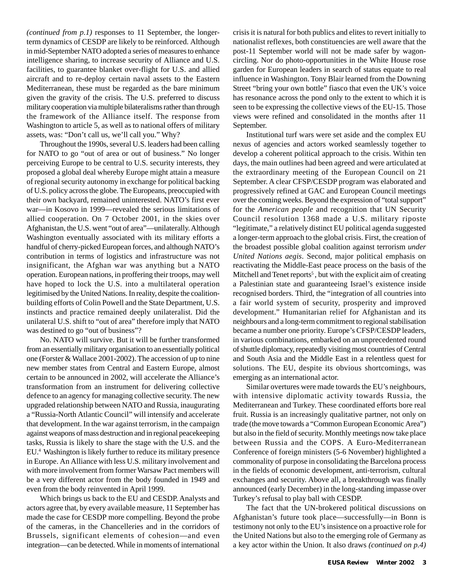*(continued from p.1)* responses to 11 September, the longerterm dynamics of CESDP are likely to be reinforced. Although in mid-September NATO adopted a series of measures to enhance intelligence sharing, to increase security of Alliance and U.S. facilities, to guarantee blanket over-flight for U.S. and allied aircraft and to re-deploy certain naval assets to the Eastern Mediterranean, these must be regarded as the bare minimum given the gravity of the crisis. The U.S. preferred to discuss military cooperation via multiple bilateralisms rather than through the framework of the Alliance itself. The response from Washington to article 5, as well as to national offers of military assets, was: "Don't call us, we'll call you." Why?

Throughout the 1990s, several U.S. leaders had been calling for NATO to go "out of area or out of business." No longer perceiving Europe to be central to U.S. security interests, they proposed a global deal whereby Europe might attain a measure of regional security autonomy in exchange for political backing of U.S. policy across the globe. The Europeans, preoccupied with their own backyard, remained uninterested. NATO's first ever war—in Kosovo in 1999—revealed the serious limitations of allied cooperation. On 7 October 2001, in the skies over Afghanistan, the U.S. went "out of area"—unilaterally. Although Washington eventually associated with its military efforts a handful of cherry-picked European forces, and although NATO's contribution in terms of logistics and infrastructure was not insignificant, the Afghan war was anything but a NATO operation. European nations, in proffering their troops, may well have hoped to lock the U.S. into a multilateral operation legitimised by the United Nations. In reality, despite the coalitionbuilding efforts of Colin Powell and the State Department, U.S. instincts and practice remained deeply unilateralist. Did the unilateral U.S. shift to "out of area" therefore imply that NATO was destined to go "out of business"?

No. NATO will survive. But it will be further transformed from an essentially military organisation to an essentially political one (Forster & Wallace 2001-2002). The accession of up to nine new member states from Central and Eastern Europe, almost certain to be announced in 2002, will accelerate the Alliance's transformation from an instrument for delivering collective defence to an agency for managing collective security. The new upgraded relationship between NATO and Russia, inaugurating a "Russia-North Atlantic Council" will intensify and accelerate that development. In the war against terrorism, in the campaign against weapons of mass destruction and in regional peacekeeping tasks, Russia is likely to share the stage with the U.S. and the EU.4 Washington is likely further to reduce its military presence in Europe. An Alliance with less U.S. military involvement and with more involvement from former Warsaw Pact members will be a very different actor from the body founded in 1949 and even from the body reinvented in April 1999.

Which brings us back to the EU and CESDP. Analysts and actors agree that, by every available measure, 11 September has made the case for CESDP more compelling. Beyond the probe of the cameras, in the Chancelleries and in the corridors of Brussels, significant elements of cohesion—and even integration—can be detected. While in moments of international crisis it is natural for both publics and elites to revert initially to nationalist reflexes, both constituencies are well aware that the post-11 September world will not be made safer by wagoncircling. Nor do photo-opportunities in the White House rose garden for European leaders in search of status equate to real influence in Washington. Tony Blair learned from the Downing Street "bring your own bottle" fiasco that even the UK's voice has resonance across the pond only to the extent to which it is seen to be expressing the collective views of the EU-15. Those views were refined and consolidated in the months after 11 September.

Institutional turf wars were set aside and the complex EU nexus of agencies and actors worked seamlessly together to develop a coherent political approach to the crisis. Within ten days, the main outlines had been agreed and were articulated at the extraordinary meeting of the European Council on 21 September. A clear CFSP/CESDP program was elaborated and progressively refined at GAC and European Council meetings over the coming weeks. Beyond the expression of "total support" for the *American people* and recognition that UN Security Council resolution 1368 made a U.S. military riposte "legitimate," a relatively distinct EU political agenda suggested a longer-term approach to the global crisis. First, the creation of the broadest possible global coalition against terrorism *under United Nations aegis*. Second, major political emphasis on reactivating the Middle-East peace process on the basis of the Mitchell and Tenet reports<sup>5</sup>, but with the explicit aim of creating a Palestinian state and guaranteeing Israel's existence inside recognised borders. Third, the "integration of all countries into a fair world system of security, prosperity and improved development." Humanitarian relief for Afghanistan and its neighbours and a long-term commitment to regional stabilisation became a number one priority. Europe's CFSP/CESDP leaders, in various combinations, embarked on an unprecedented round of shuttle diplomacy, repeatedly visiting most countries of Central and South Asia and the Middle East in a relentless quest for solutions. The EU, despite its obvious shortcomings, was emerging as an international actor.

Similar overtures were made towards the EU's neighbours, with intensive diplomatic activity towards Russia, the Mediterranean and Turkey. These coordinated efforts bore real fruit. Russia is an increasingly qualitative partner, not only on trade (the move towards a "Common European Economic Area") but also in the field of security. Monthly meetings now take place between Russia and the COPS. A Euro-Mediterranean Conference of foreign ministers (5-6 November) highlighted a commonality of purpose in consolidating the Barcelona process in the fields of economic development, anti-terrorism, cultural exchanges and security. Above all, a breakthrough was finally announced (early December) in the long-standing impasse over Turkey's refusal to play ball with CESDP.

The fact that the UN-brokered political discussions on Afghanistan's future took place—successfully—in Bonn is testimony not only to the EU's insistence on a proactive role for the United Nations but also to the emerging role of Germany as a key actor within the Union. It also draws *(continued on p.4)*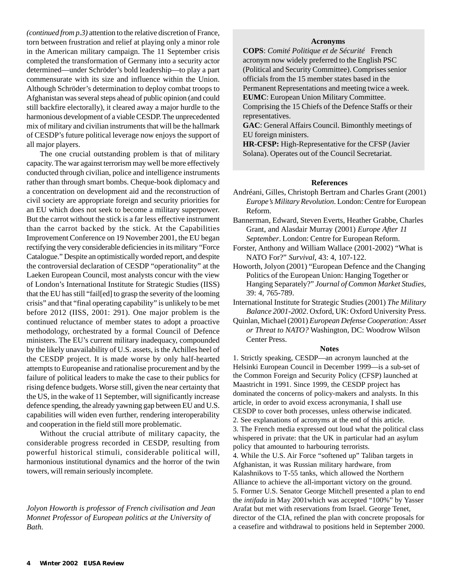*(continued from p.3)* attention to the relative discretion of France, torn between frustration and relief at playing only a minor role in the American military campaign. The 11 September crisis completed the transformation of Germany into a security actor determined—under Schröder's bold leadership—to play a part commensurate with its size and influence within the Union. Although Schröder's determination to deploy combat troops to Afghanistan was several steps ahead of public opinion (and could still backfire electorally), it cleared away a major hurdle to the harmonious development of a viable CESDP. The unprecedented mix of military and civilian instruments that will be the hallmark of CESDP's future political leverage now enjoys the support of all major players.

The one crucial outstanding problem is that of military capacity. The war against terrorism may well be more effectively conducted through civilian, police and intelligence instruments rather than through smart bombs. Cheque-book diplomacy and a concentration on development aid and the reconstruction of civil society are appropriate foreign and security priorities for an EU which does not seek to become a military superpower. But the carrot without the stick is a far less effective instrument than the carrot backed by the stick. At the Capabilities Improvement Conference on 19 November 2001, the EU began rectifying the very considerable deficiencies in its military "Force Catalogue." Despite an optimistically worded report, and despite the controversial declaration of CESDP "operationality" at the Laeken European Council, most analysts concur with the view of London's International Institute for Strategic Studies (IISS) that the EU has still "fail[ed] to grasp the severity of the looming crisis" and that "final operating capability" is unlikely to be met before 2012 (IISS, 2001: 291). One major problem is the continued reluctance of member states to adopt a proactive methodology, orchestrated by a formal Council of Defence ministers. The EU's current military inadequacy, compounded by the likely unavailability of U.S. assets, is the Achilles heel of the CESDP project. It is made worse by only half-hearted attempts to Europeanise and rationalise procurement and by the failure of political leaders to make the case to their publics for rising defence budgets. Worse still, given the near certainty that the US, in the wake of 11 September, will significantly increase defence spending, the already yawning gap between EU and U.S. capabilities will widen even further, rendering interoperability and cooperation in the field still more problematic.

Without the crucial attribute of military capacity, the considerable progress recorded in CESDP, resulting from powerful historical stimuli, considerable political will, harmonious institutional dynamics and the horror of the twin towers, will remain seriously incomplete.

*Jolyon Howorth is professor of French civilisation and Jean Monnet Professor of European politics at the University of Bath.*

#### **Acronyms**

**COPS**: *Comité Politique et de Sécurité* French acronym now widely preferred to the English PSC (Political and Security Committee). Comprises senior officials from the 15 member states based in the Permanent Representations and meeting twice a week. **EUMC**: European Union Military Committee. Comprising the 15 Chiefs of the Defence Staffs or their

representatives.

**GAC**: General Affairs Council. Bimonthly meetings of EU foreign ministers.

**HR-CFSP:** High-Representative for the CFSP (Javier Solana). Operates out of the Council Secretariat.

### **References**

- Andréani, Gilles, Christoph Bertram and Charles Grant (2001) *Europe's Military Revolution*. London: Centre for European Reform.
- Bannerman, Edward, Steven Everts, Heather Grabbe, Charles Grant, and Alasdair Murray (2001) *Europe After 11 September*. London: Centre for European Reform.
- Forster, Anthony and William Wallace (2001-2002) "What is NATO For?" *Survival*, 43: 4, 107-122.
- Howorth, Jolyon (2001) "European Defence and the Changing Politics of the European Union: Hanging Together or Hanging Separately?" *Journal of Common Market Studies*, 39: 4, 765-789.
- International Institute for Strategic Studies (2001) *The Military Balance 2001-2002*. Oxford, UK: Oxford University Press.
- Quinlan, Michael (2001) *European Defense Cooperation: Asset or Threat to NATO?* Washington, DC: Woodrow Wilson Center Press.

#### **Notes**

1. Strictly speaking, CESDP—an acronym launched at the Helsinki European Council in December 1999—is a sub-set of the Common Foreign and Security Policy (CFSP) launched at Maastricht in 1991. Since 1999, the CESDP project has dominated the concerns of policy-makers and analysts. In this article, in order to avoid excess acronymania, I shall use CESDP to cover both processes, unless otherwise indicated. 2. See explanations of acronyms at the end of this article. 3. The French media expressed out loud what the political class whispered in private: that the UK in particular had an asylum policy that amounted to harbouring terrorists. 4. While the U.S. Air Force "softened up" Taliban targets in Afghanistan, it was Russian military hardware, from Kalashnikovs to T-55 tanks, which allowed the Northern Alliance to achieve the all-important victory on the ground. 5. Former U.S. Senator George Mitchell presented a plan to end the *intifada* in May 2001which was accepted "100%" by Yasser Arafat but met with reservations from Israel. George Tenet,

director of the CIA, refined the plan with concrete proposals for a ceasefire and withdrawal to positions held in September 2000.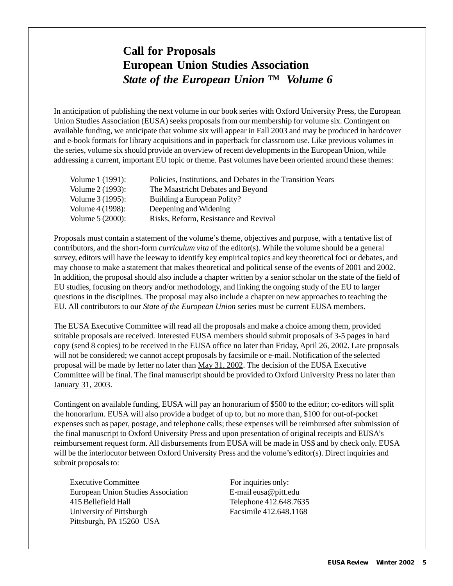# **Call for Proposals European Union Studies Association** *State of the European Union*  $TM$  *Volume 6*

In anticipation of publishing the next volume in our book series with Oxford University Press, the European Union Studies Association (EUSA) seeks proposals from our membership for volume six. Contingent on available funding, we anticipate that volume six will appear in Fall 2003 and may be produced in hardcover and e-book formats for library acquisitions and in paperback for classroom use. Like previous volumes in the series, volume six should provide an overview of recent developments in the European Union, while addressing a current, important EU topic or theme. Past volumes have been oriented around these themes:

| Volume 1 (1991): | Policies, Institutions, and Debates in the Transition Years |
|------------------|-------------------------------------------------------------|
| Volume 2 (1993): | The Maastricht Debates and Beyond                           |
| Volume 3 (1995): | Building a European Polity?                                 |
| Volume 4 (1998): | Deepening and Widening                                      |
| Volume 5 (2000): | Risks, Reform, Resistance and Revival                       |

Proposals must contain a statement of the volume's theme, objectives and purpose, with a tentative list of contributors, and the short-form *curriculum vita* of the editor(s). While the volume should be a general survey, editors will have the leeway to identify key empirical topics and key theoretical foci or debates, and may choose to make a statement that makes theoretical and political sense of the events of 2001 and 2002. In addition, the proposal should also include a chapter written by a senior scholar on the state of the field of EU studies, focusing on theory and/or methodology, and linking the ongoing study of the EU to larger questions in the disciplines. The proposal may also include a chapter on new approaches to teaching the EU. All contributors to our *State of the European Union* series must be current EUSA members.

The EUSA Executive Committee will read all the proposals and make a choice among them, provided suitable proposals are received. Interested EUSA members should submit proposals of 3-5 pages in hard copy (send 8 copies) to be received in the EUSA office no later than Friday, April 26, 2002. Late proposals will not be considered; we cannot accept proposals by facsimile or e-mail. Notification of the selected proposal will be made by letter no later than May 31, 2002. The decision of the EUSA Executive Committee will be final. The final manuscript should be provided to Oxford University Press no later than January 31, 2003.

Contingent on available funding, EUSA will pay an honorarium of \$500 to the editor; co-editors will split the honorarium. EUSA will also provide a budget of up to, but no more than, \$100 for out-of-pocket expenses such as paper, postage, and telephone calls; these expenses will be reimbursed after submission of the final manuscript to Oxford University Press and upon presentation of original receipts and EUSA's reimbursement request form. All disbursements from EUSA will be made in US\$ and by check only. EUSA will be the interlocutor between Oxford University Press and the volume's editor(s). Direct inquiries and submit proposals to:

Executive Committee For inquiries only: European Union Studies Association E-mail eusa@pitt.edu 415 Bellefield Hall Telephone 412.648.7635 University of Pittsburgh Facsimile 412.648.1168 Pittsburgh, PA 15260 USA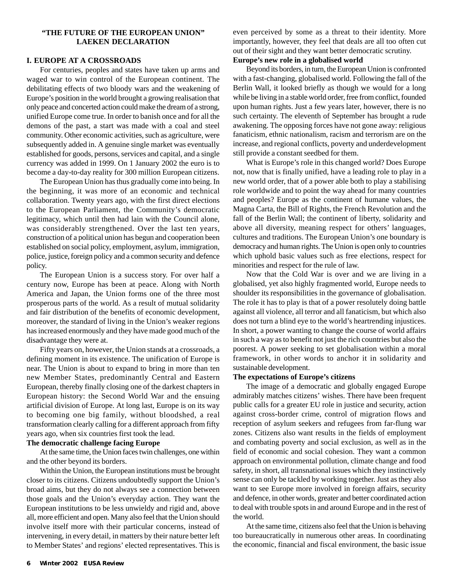## **"THE FUTURE OF THE EUROPEAN UNION" LAEKEN DECLARATION**

### **I. EUROPE AT A CROSSROADS**

For centuries, peoples and states have taken up arms and waged war to win control of the European continent. The debilitating effects of two bloody wars and the weakening of Europe's position in the world brought a growing realisation that only peace and concerted action could make the dream of a strong, unified Europe come true. In order to banish once and for all the demons of the past, a start was made with a coal and steel community. Other economic activities, such as agriculture, were subsequently added in. A genuine single market was eventually established for goods, persons, services and capital, and a single currency was added in 1999. On 1 January 2002 the euro is to become a day-to-day reality for 300 million European citizens.

The European Union has thus gradually come into being. In the beginning, it was more of an economic and technical collaboration. Twenty years ago, with the first direct elections to the European Parliament, the Community's democratic legitimacy, which until then had lain with the Council alone, was considerably strengthened. Over the last ten years, construction of a political union has begun and cooperation been established on social policy, employment, asylum, immigration, police, justice, foreign policy and a common security and defence policy.

The European Union is a success story. For over half a century now, Europe has been at peace. Along with North America and Japan, the Union forms one of the three most prosperous parts of the world. As a result of mutual solidarity and fair distribution of the benefits of economic development, moreover, the standard of living in the Union's weaker regions has increased enormously and they have made good much of the disadvantage they were at.

Fifty years on, however, the Union stands at a crossroads, a defining moment in its existence. The unification of Europe is near. The Union is about to expand to bring in more than ten new Member States, predominantly Central and Eastern European, thereby finally closing one of the darkest chapters in European history: the Second World War and the ensuing artificial division of Europe. At long last, Europe is on its way to becoming one big family, without bloodshed, a real transformation clearly calling for a different approach from fifty years ago, when six countries first took the lead.

#### **The democratic challenge facing Europe**

At the same time, the Union faces twin challenges, one within and the other beyond its borders.

Within the Union, the European institutions must be brought closer to its citizens. Citizens undoubtedly support the Union's broad aims, but they do not always see a connection between those goals and the Union's everyday action. They want the European institutions to be less unwieldy and rigid and, above all, more efficient and open. Many also feel that the Union should involve itself more with their particular concerns, instead of intervening, in every detail, in matters by their nature better left to Member States' and regions' elected representatives. This is

even perceived by some as a threat to their identity. More importantly, however, they feel that deals are all too often cut out of their sight and they want better democratic scrutiny.

### **Europe's new role in a globalised world**

Beyond its borders, in turn, the European Union is confronted with a fast-changing, globalised world. Following the fall of the Berlin Wall, it looked briefly as though we would for a long while be living in a stable world order, free from conflict, founded upon human rights. Just a few years later, however, there is no such certainty. The eleventh of September has brought a rude awakening. The opposing forces have not gone away: religious fanaticism, ethnic nationalism, racism and terrorism are on the increase, and regional conflicts, poverty and underdevelopment still provide a constant seedbed for them.

What is Europe's role in this changed world? Does Europe not, now that is finally unified, have a leading role to play in a new world order, that of a power able both to play a stabilising role worldwide and to point the way ahead for many countries and peoples? Europe as the continent of humane values, the Magna Carta, the Bill of Rights, the French Revolution and the fall of the Berlin Wall; the continent of liberty, solidarity and above all diversity, meaning respect for others' languages, cultures and traditions. The European Union's one boundary is democracy and human rights. The Union is open only to countries which uphold basic values such as free elections, respect for minorities and respect for the rule of law.

Now that the Cold War is over and we are living in a globalised, yet also highly fragmented world, Europe needs to shoulder its responsibilities in the governance of globalisation. The role it has to play is that of a power resolutely doing battle against all violence, all terror and all fanaticism, but which also does not turn a blind eye to the world's heartrending injustices. In short, a power wanting to change the course of world affairs in such a way as to benefit not just the rich countries but also the poorest. A power seeking to set globalisation within a moral framework, in other words to anchor it in solidarity and sustainable development.

### **The expectations of Europe's citizens**

The image of a democratic and globally engaged Europe admirably matches citizens' wishes. There have been frequent public calls for a greater EU role in justice and security, action against cross-border crime, control of migration flows and reception of asylum seekers and refugees from far-flung war zones. Citizens also want results in the fields of employment and combating poverty and social exclusion, as well as in the field of economic and social cohesion. They want a common approach on environmental pollution, climate change and food safety, in short, all transnational issues which they instinctively sense can only be tackled by working together. Just as they also want to see Europe more involved in foreign affairs, security and defence, in other words, greater and better coordinated action to deal with trouble spots in and around Europe and in the rest of the world.

At the same time, citizens also feel that the Union is behaving too bureaucratically in numerous other areas. In coordinating the economic, financial and fiscal environment, the basic issue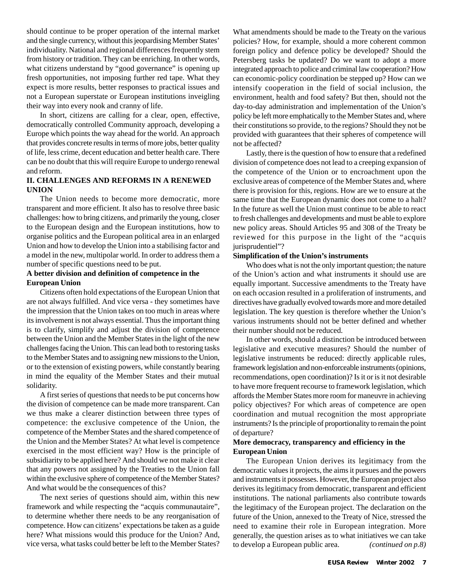should continue to be proper operation of the internal market and the single currency, without this jeopardising Member States' individuality. National and regional differences frequently stem from history or tradition. They can be enriching. In other words, what citizens understand by "good governance" is opening up fresh opportunities, not imposing further red tape. What they expect is more results, better responses to practical issues and not a European superstate or European institutions inveigling their way into every nook and cranny of life.

In short, citizens are calling for a clear, open, effective, democratically controlled Community approach, developing a Europe which points the way ahead for the world. An approach that provides concrete results in terms of more jobs, better quality of life, less crime, decent education and better health care. There can be no doubt that this will require Europe to undergo renewal and reform.

### **II. CHALLENGES AND REFORMS IN A RENEWED UNION**

The Union needs to become more democratic, more transparent and more efficient. It also has to resolve three basic challenges: how to bring citizens, and primarily the young, closer to the European design and the European institutions, how to organise politics and the European political area in an enlarged Union and how to develop the Union into a stabilising factor and a model in the new, multipolar world. In order to address them a number of specific questions need to be put.

### **A better division and definition of competence in the European Union**

Citizens often hold expectations of the European Union that are not always fulfilled. And vice versa - they sometimes have the impression that the Union takes on too much in areas where its involvement is not always essential. Thus the important thing is to clarify, simplify and adjust the division of competence between the Union and the Member States in the light of the new challenges facing the Union. This can lead both to restoring tasks to the Member States and to assigning new missions to the Union, or to the extension of existing powers, while constantly bearing in mind the equality of the Member States and their mutual solidarity.

A first series of questions that needs to be put concerns how the division of competence can be made more transparent. Can we thus make a clearer distinction between three types of competence: the exclusive competence of the Union, the competence of the Member States and the shared competence of the Union and the Member States? At what level is competence exercised in the most efficient way? How is the principle of subsidiarity to be applied here? And should we not make it clear that any powers not assigned by the Treaties to the Union fall within the exclusive sphere of competence of the Member States? And what would be the consequences of this?

The next series of questions should aim, within this new framework and while respecting the "acquis communautaire", to determine whether there needs to be any reorganisation of competence. How can citizens' expectations be taken as a guide here? What missions would this produce for the Union? And, vice versa, what tasks could better be left to the Member States? What amendments should be made to the Treaty on the various policies? How, for example, should a more coherent common foreign policy and defence policy be developed? Should the Petersberg tasks be updated? Do we want to adopt a more integrated approach to police and criminal law cooperation? How can economic-policy coordination be stepped up? How can we intensify cooperation in the field of social inclusion, the environment, health and food safety? But then, should not the day-to-day administration and implementation of the Union's policy be left more emphatically to the Member States and, where their constitutions so provide, to the regions? Should they not be provided with guarantees that their spheres of competence will not be affected?

Lastly, there is the question of how to ensure that a redefined division of competence does not lead to a creeping expansion of the competence of the Union or to encroachment upon the exclusive areas of competence of the Member States and, where there is provision for this, regions. How are we to ensure at the same time that the European dynamic does not come to a halt? In the future as well the Union must continue to be able to react to fresh challenges and developments and must be able to explore new policy areas. Should Articles 95 and 308 of the Treaty be reviewed for this purpose in the light of the "acquis jurisprudentiel"?

### **Simplification of the Union's instruments**

Who does what is not the only important question; the nature of the Union's action and what instruments it should use are equally important. Successive amendments to the Treaty have on each occasion resulted in a proliferation of instruments, and directives have gradually evolved towards more and more detailed legislation. The key question is therefore whether the Union's various instruments should not be better defined and whether their number should not be reduced.

In other words, should a distinction be introduced between legislative and executive measures? Should the number of legislative instruments be reduced: directly applicable rules, framework legislation and non-enforceable instruments (opinions, recommendations, open coordination)? Is it or is it not desirable to have more frequent recourse to framework legislation, which affords the Member States more room for maneuvre in achieving policy objectives? For which areas of competence are open coordination and mutual recognition the most appropriate instruments? Is the principle of proportionality to remain the point of departure?

### **More democracy, transparency and efficiency in the European Union**

The European Union derives its legitimacy from the democratic values it projects, the aims it pursues and the powers and instruments it possesses. However, the European project also derives its legitimacy from democratic, transparent and efficient institutions. The national parliaments also contribute towards the legitimacy of the European project. The declaration on the future of the Union, annexed to the Treaty of Nice, stressed the need to examine their role in European integration. More generally, the question arises as to what initiatives we can take to develop a European public area. *(continued on p.8)*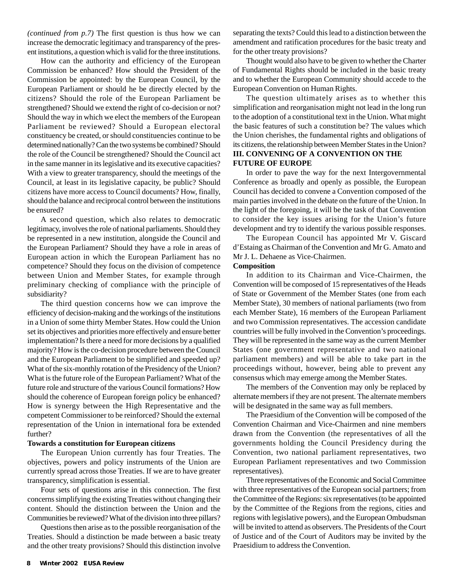*(continued from p.7)* The first question is thus how we can increase the democratic legitimacy and transparency of the present institutions, a question which is valid for the three institutions.

How can the authority and efficiency of the European Commission be enhanced? How should the President of the Commission be appointed: by the European Council, by the European Parliament or should he be directly elected by the citizens? Should the role of the European Parliament be strengthened? Should we extend the right of co-decision or not? Should the way in which we elect the members of the European Parliament be reviewed? Should a European electoral constituency be created, or should constituencies continue to be determined nationally? Can the two systems be combined? Should the role of the Council be strengthened? Should the Council act in the same manner in its legislative and its executive capacities? With a view to greater transparency, should the meetings of the Council, at least in its legislative capacity, be public? Should citizens have more access to Council documents? How, finally, should the balance and reciprocal control between the institutions be ensured?

A second question, which also relates to democratic legitimacy, involves the role of national parliaments. Should they be represented in a new institution, alongside the Council and the European Parliament? Should they have a role in areas of European action in which the European Parliament has no competence? Should they focus on the division of competence between Union and Member States, for example through preliminary checking of compliance with the principle of subsidiarity?

The third question concerns how we can improve the efficiency of decision-making and the workings of the institutions in a Union of some thirty Member States. How could the Union set its objectives and priorities more effectively and ensure better implementation? Is there a need for more decisions by a qualified majority? How is the co-decision procedure between the Council and the European Parliament to be simplified and speeded up? What of the six-monthly rotation of the Presidency of the Union? What is the future role of the European Parliament? What of the future role and structure of the various Council formations? How should the coherence of European foreign policy be enhanced? How is synergy between the High Representative and the competent Commissioner to be reinforced? Should the external representation of the Union in international fora be extended further?

#### **Towards a constitution for European citizens**

The European Union currently has four Treaties. The objectives, powers and policy instruments of the Union are currently spread across those Treaties. If we are to have greater transparency, simplification is essential.

Four sets of questions arise in this connection. The first concerns simplifying the existing Treaties without changing their content. Should the distinction between the Union and the Communities be reviewed? What of the division into three pillars?

Questions then arise as to the possible reorganisation of the Treaties. Should a distinction be made between a basic treaty and the other treaty provisions? Should this distinction involve separating the texts? Could this lead to a distinction between the amendment and ratification procedures for the basic treaty and for the other treaty provisions?

Thought would also have to be given to whether the Charter of Fundamental Rights should be included in the basic treaty and to whether the European Community should accede to the European Convention on Human Rights.

The question ultimately arises as to whether this simplification and reorganisation might not lead in the long run to the adoption of a constitutional text in the Union. What might the basic features of such a constitution be? The values which the Union cherishes, the fundamental rights and obligations of its citizens, the relationship between Member States in the Union? **III. CONVENING OF A CONVENTION ON THE FUTURE OF EUROPE**

In order to pave the way for the next Intergovernmental Conference as broadly and openly as possible, the European Council has decided to convene a Convention composed of the main parties involved in the debate on the future of the Union. In the light of the foregoing, it will be the task of that Convention to consider the key issues arising for the Union's future development and try to identify the various possible responses.

The European Council has appointed Mr V. Giscard d'Estaing as Chairman of the Convention and Mr G. Amato and Mr J. L. Dehaene as Vice-Chairmen.

#### **Composition**

In addition to its Chairman and Vice-Chairmen, the Convention will be composed of 15 representatives of the Heads of State or Government of the Member States (one from each Member State), 30 members of national parliaments (two from each Member State), 16 members of the European Parliament and two Commission representatives. The accession candidate countries will be fully involved in the Convention's proceedings. They will be represented in the same way as the current Member States (one government representative and two national parliament members) and will be able to take part in the proceedings without, however, being able to prevent any consensus which may emerge among the Member States.

The members of the Convention may only be replaced by alternate members if they are not present. The alternate members will be designated in the same way as full members.

The Praesidium of the Convention will be composed of the Convention Chairman and Vice-Chairmen and nine members drawn from the Convention (the representatives of all the governments holding the Council Presidency during the Convention, two national parliament representatives, two European Parliament representatives and two Commission representatives).

Three representatives of the Economic and Social Committee with three representatives of the European social partners; from the Committee of the Regions: six representatives (to be appointed by the Committee of the Regions from the regions, cities and regions with legislative powers), and the European Ombudsman will be invited to attend as observers. The Presidents of the Court of Justice and of the Court of Auditors may be invited by the Praesidium to address the Convention.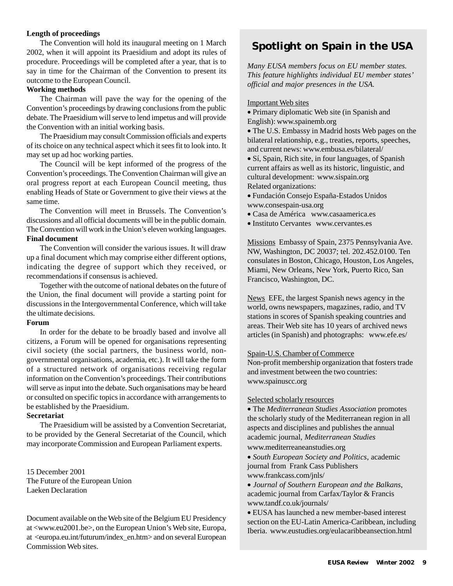### **Length of proceedings**

The Convention will hold its inaugural meeting on 1 March 2002, when it will appoint its Praesidium and adopt its rules of procedure. Proceedings will be completed after a year, that is to say in time for the Chairman of the Convention to present its outcome to the European Council.

### **Working methods**

The Chairman will pave the way for the opening of the Convention's proceedings by drawing conclusions from the public debate. The Praesidium will serve to lend impetus and will provide the Convention with an initial working basis.

The Praesidium may consult Commission officials and experts of its choice on any technical aspect which it sees fit to look into. It may set up ad hoc working parties.

The Council will be kept informed of the progress of the Convention's proceedings. The Convention Chairman will give an oral progress report at each European Council meeting, thus enabling Heads of State or Government to give their views at the same time.

The Convention will meet in Brussels. The Convention's discussions and all official documents will be in the public domain. The Convention will work in the Union's eleven working languages. **Final document**

The Convention will consider the various issues. It will draw up a final document which may comprise either different options, indicating the degree of support which they received, or recommendations if consensus is achieved.

Together with the outcome of national debates on the future of the Union, the final document will provide a starting point for discussions in the Intergovernmental Conference, which will take the ultimate decisions.

#### **Forum**

In order for the debate to be broadly based and involve all citizens, a Forum will be opened for organisations representing civil society (the social partners, the business world, nongovernmental organisations, academia, etc.). It will take the form of a structured network of organisations receiving regular information on the Convention's proceedings. Their contributions will serve as input into the debate. Such organisations may be heard or consulted on specific topics in accordance with arrangements to be established by the Praesidium.

### **Secretariat**

The Praesidium will be assisted by a Convention Secretariat, to be provided by the General Secretariat of the Council, which may incorporate Commission and European Parliament experts.

15 December 2001 The Future of the European Union Laeken Declaration

Document available on the Web site of the Belgium EU Presidency at <www.eu2001.be>, on the European Union's Web site, Europa, at <europa.eu.int/futurum/index\_en.htm> and on several European Commission Web sites.

# **Spotlight on Spain in the USA**

*Many EUSA members focus on EU member states. This feature highlights individual EU member states' official and major presences in the USA.*

#### Important Web sites

• Primary diplomatic Web site (in Spanish and English): www.spainemb.org

• The U.S. Embassy in Madrid hosts Web pages on the bilateral relationship, e.g., treaties, reports, speeches, and current news: www.embusa.es/bilateral/

• Sí, Spain, Rich site, in four languages, of Spanish current affairs as well as its historic, linguistic, and cultural development: www.sispain.org Related organizations:

• Fundación Consejo España-Estados Unidos www.consespain-usa.org

• Casa de América www.casaamerica.es

• Instituto Cervantes www.cervantes.es

Missions Embassy of Spain, 2375 Pennsylvania Ave. NW, Washington, DC 20037; tel. 202.452.0100. Ten consulates in Boston, Chicago, Houston, Los Angeles, Miami, New Orleans, New York, Puerto Rico, San Francisco, Washington, DC.

News EFE, the largest Spanish news agency in the world, owns newspapers, magazines, radio, and TV stations in scores of Spanish speaking countries and areas. Their Web site has 10 years of archived news articles (in Spanish) and photographs: www.efe.es/

#### Spain-U.S. Chamber of Commerce

Non-profit membership organization that fosters trade and investment between the two countries: www.spainuscc.org

#### Selected scholarly resources

• The *Mediterranean Studies Association* promotes the scholarly study of the Mediterranean region in all aspects and disciplines and publishes the annual academic journal, *Mediterranean Studies* www.mediterreaneanstudies.org

• *South European Society and Politics*, academic journal from Frank Cass Publishers www.frankcass.com/jnls/

• *Journal of Southern European and the Balkans*, academic journal from Carfax/Taylor & Francis www.tandf.co.uk/journals/

• EUSA has launched a new member-based interest section on the EU-Latin America-Caribbean, including Iberia. www.eustudies.org/eulacaribbeansection.html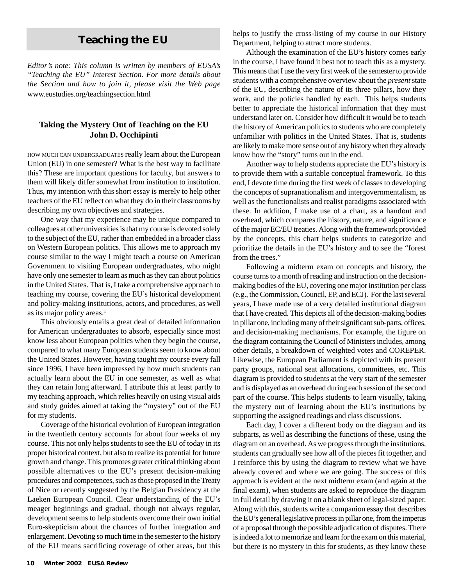# **Teaching the EU**

*Editor's note: This column is written by members of EUSA's "Teaching the EU" Interest Section. For more details about the Section and how to join it, please visit the Web page* www.eustudies.org/teachingsection.html

## **Taking the Mystery Out of Teaching on the EU John D. Occhipinti**

HOW MUCH CAN UNDERGRADUATES really learn about the European Union (EU) in one semester? What is the best way to facilitate this? These are important questions for faculty, but answers to them will likely differ somewhat from institution to institution. Thus, my intention with this short essay is merely to help other teachers of the EU reflect on what they do in their classrooms by describing my own objectives and strategies.

One way that my experience may be unique compared to colleagues at other universities is that my course is devoted solely to the subject of the EU, rather than embedded in a broader class on Western European politics. This allows me to approach my course similar to the way I might teach a course on American Government to visiting European undergraduates, who might have only one semester to learn as much as they can about politics in the United States. That is, I take a comprehensive approach to teaching my course, covering the EU's historical development and policy-making institutions, actors, and procedures, as well as its major policy areas.<sup>1</sup>

This obviously entails a great deal of detailed information for American undergraduates to absorb, especially since most know less about European politics when they begin the course, compared to what many European students seem to know about the United States. However, having taught my course every fall since 1996, I have been impressed by how much students can actually learn about the EU in one semester, as well as what they can retain long afterward. I attribute this at least partly to my teaching approach, which relies heavily on using visual aids and study guides aimed at taking the "mystery" out of the EU for my students.

Coverage of the historical evolution of European integration in the twentieth century accounts for about four weeks of my course. This not only helps students to see the EU of today in its proper historical context, but also to realize its potential for future growth and change. This promotes greater critical thinking about possible alternatives to the EU's present decision-making procedures and competences, such as those proposed in the Treaty of Nice or recently suggested by the Belgian Presidency at the Laeken European Council. Clear understanding of the EU's meager beginnings and gradual, though not always regular, development seems to help students overcome their own initial Euro-skepticism about the chances of further integration and enlargement. Devoting so much time in the semester to the history of the EU means sacrificing coverage of other areas, but this

helps to justify the cross-listing of my course in our History Department, helping to attract more students.

Although the examination of the EU's history comes early in the course, I have found it best not to teach this as a mystery. This means that I use the very first week of the semester to provide students with a comprehensive overview about the *present* state of the EU, describing the nature of its three pillars, how they work, and the policies handled by each. This helps students better to appreciate the historical information that they must understand later on. Consider how difficult it would be to teach the history of American politics to students who are completely unfamiliar with politics in the United States. That is, students are likely to make more sense out of any history when they already know how the "story" turns out in the end.

Another way to help students appreciate the EU's history is to provide them with a suitable conceptual framework. To this end, I devote time during the first week of classes to developing the concepts of supranationalism and intergovernmentalism, as well as the functionalists and realist paradigms associated with these. In addition, I make use of a chart, as a handout and overhead, which compares the history, nature, and significance of the major EC/EU treaties. Along with the framework provided by the concepts, this chart helps students to categorize and prioritize the details in the EU's history and to see the "forest from the trees."

Following a midterm exam on concepts and history, the course turns to a month of reading and instruction on the decisionmaking bodies of the EU, covering one major institution per class (e.g., the Commission, Council, EP, and ECJ). For the last several years, I have made use of a very detailed institutional diagram that I have created. This depicts all of the decision-making bodies in pillar one, including many of their significant sub-parts, offices, and decision-making mechanisms. For example, the figure on the diagram containing the Council of Ministers includes, among other details, a breakdown of weighted votes and COREPER. Likewise, the European Parliament is depicted with its present party groups, national seat allocations, committees, etc. This diagram is provided to students at the very start of the semester and is displayed as an overhead during each session of the second part of the course. This helps students to learn visually, taking the mystery out of learning about the EU's institutions by supporting the assigned readings and class discussions.

Each day, I cover a different body on the diagram and its subparts, as well as describing the functions of these, using the diagram on an overhead. As we progress through the institutions, students can gradually see how all of the pieces fit together, and I reinforce this by using the diagram to review what we have already covered and where we are going. The success of this approach is evident at the next midterm exam (and again at the final exam), when students are asked to reproduce the diagram in full detail by drawing it on a blank sheet of legal-sized paper. Along with this, students write a companion essay that describes the EU's general legislative process in pillar one, from the impetus of a proposal through the possible adjudication of disputes. There is indeed a lot to memorize and learn for the exam on this material, but there is no mystery in this for students, as they know these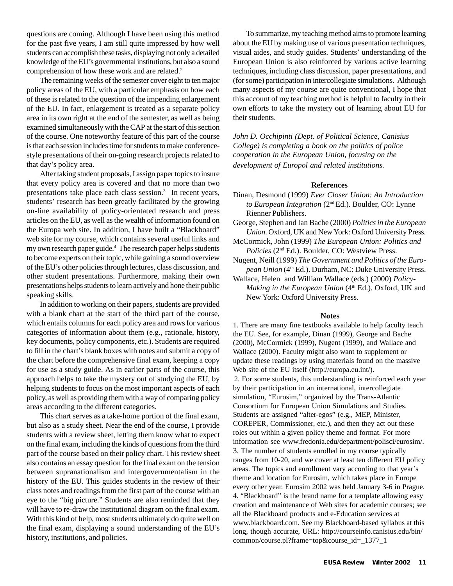questions are coming. Although I have been using this method for the past five years, I am still quite impressed by how well students can accomplish these tasks, displaying not only a detailed knowledge of the EU's governmental institutions, but also a sound comprehension of how these work and are related.2

The remaining weeks of the semester cover eight to ten major policy areas of the EU, with a particular emphasis on how each of these is related to the question of the impending enlargement of the EU. In fact, enlargement is treated as a separate policy area in its own right at the end of the semester, as well as being examined simultaneously with the CAP at the start of this section of the course. One noteworthy feature of this part of the course is that each session includes time for students to make conferencestyle presentations of their on-going research projects related to that day's policy area.

After taking student proposals, I assign paper topics to insure that every policy area is covered and that no more than two presentations take place each class session.<sup>3</sup> In recent years, students' research has been greatly facilitated by the growing on-line availability of policy-orientated research and press articles on the EU, as well as the wealth of information found on the Europa web site. In addition, I have built a "Blackboard" web site for my course, which contains several useful links and my own research paper guide.4 The research paper helps students to become experts on their topic, while gaining a sound overview of the EU's other policies through lectures, class discussion, and other student presentations. Furthermore, making their own presentations helps students to learn actively and hone their public speaking skills.

In addition to working on their papers, students are provided with a blank chart at the start of the third part of the course, which entails columns for each policy area and rows for various categories of information about them (e.g., rationale, history, key documents, policy components, etc.). Students are required to fill in the chart's blank boxes with notes and submit a copy of the chart before the comprehensive final exam, keeping a copy for use as a study guide. As in earlier parts of the course, this approach helps to take the mystery out of studying the EU, by helping students to focus on the most important aspects of each policy, as well as providing them with a way of comparing policy areas according to the different categories.

This chart serves as a take-home portion of the final exam, but also as a study sheet. Near the end of the course, I provide students with a review sheet, letting them know what to expect on the final exam, including the kinds of questions from the third part of the course based on their policy chart. This review sheet also contains an essay question for the final exam on the tension between supranationalism and intergovernmentalism in the history of the EU. This guides students in the review of their class notes and readings from the first part of the course with an eye to the "big picture." Students are also reminded that they will have to re-draw the institutional diagram on the final exam. With this kind of help, most students ultimately do quite well on the final exam, displaying a sound understanding of the EU's history, institutions, and policies.

To summarize, my teaching method aims to promote learning about the EU by making use of various presentation techniques, visual aides, and study guides. Students' understanding of the European Union is also reinforced by various active learning techniques, including class discussion, paper presentations, and (for some) participation in intercollegiate simulations. Although many aspects of my course are quite conventional, I hope that this account of my teaching method is helpful to faculty in their own efforts to take the mystery out of learning about EU for their students.

*John D. Occhipinti (Dept. of Political Science, Canisius College) is completing a book on the politics of police cooperation in the European Union, focusing on the development of Europol and related institutions.*

#### **References**

Dinan, Desmond (1999) *Ever Closer Union: An Introduction to European Integration* (2nd Ed.). Boulder, CO: Lynne Rienner Publishers.

George, Stephen and Ian Bache (2000) *Politics in the European Union*. Oxford, UK and New York: Oxford University Press.

- McCormick, John (1999) *The European Union: Politics and Policies* (2nd Ed.). Boulder, CO: Westview Press.
- Nugent, Neill (1999) *The Government and Politics of the European Union* (4<sup>th</sup> Ed.). Durham, NC: Duke University Press.
- Wallace, Helen and William Wallace (eds.) (2000) *Policy-Making in the European Union* (4<sup>th</sup> Ed.). Oxford, UK and New York: Oxford University Press.

#### **Notes**

1. There are many fine textbooks available to help faculty teach the EU. See, for example, Dinan (1999), George and Bache (2000), McCormick (1999), Nugent (1999), and Wallace and Wallace (2000). Faculty might also want to supplement or update these readings by using materials found on the massive Web site of the EU itself (http://europa.eu.int/).

2. For some students, this understanding is reinforced each year by their participation in an international, intercollegiate simulation, "Eurosim," organized by the Trans-Atlantic Consortium for European Union Simulations and Studies. Students are assigned "alter-egos" (e.g., MEP, Minister, COREPER, Commissioner, etc.), and then they act out these roles out within a given policy theme and format. For more information see www.fredonia.edu/department/polisci/eurosim/. 3. The number of students enrolled in my course typically ranges from 10-20, and we cover at least ten different EU policy areas. The topics and enrollment vary according to that year's theme and location for Eurosim, which takes place in Europe every other year. Eurosim 2002 was held January 3-6 in Prague. 4. "Blackboard" is the brand name for a template allowing easy creation and maintenance of Web sites for academic courses; see all the Blackboard products and e-Education services at www.blackboard.com. See my Blackboard-based syllabus at this long, though accurate, URL: http://courseinfo.canisius.edu/bin/ common/course.pl?frame=top&course\_id=\_1377\_1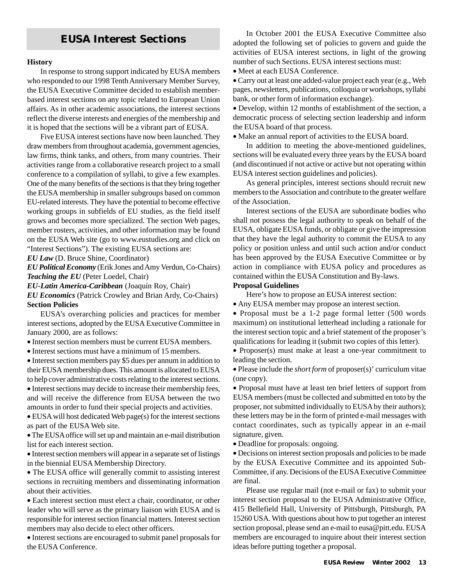# **EUSA Interest Sections**

#### **History**

In response to strong support indicated by EUSA members who responded to our 1998 Tenth Anniversary Member Survey, the EUSA Executive Committee decided to establish memberbased interest sections on any topic related to European Union affairs. As in other academic associations, the interest sections reflect the diverse interests and energies of the membership and it is hoped that the sections will be a vibrant part of EUSA.

Five EUSA interest sections have now been launched. They draw members from throughout academia, government agencies, law firms, think tanks, and others, from many countries. Their activities range from a collaborative research project to a small conference to a compilation of syllabi, to give a few examples. One of the many benefits of the sections is that they bring together the EUSA membership in smaller subgroups based on common EU-related interests. They have the potential to become effective working groups in subfields of EU studies, as the field itself grows and becomes more specialized. The section Web pages, member rosters, activities, and other information may be found on the EUSA Web site (go to www.eustudies.org and click on "Interest Sections"). The existing EUSA sections are:

*EU Law* (D. Bruce Shine, Coordinator)

*EU Political Economy* (Erik Jones and Amy Verdun, Co-Chairs) **Teaching the EU** (Peter Loedel, Chair)

*EU-Latin America-Caribbean* (Joaquín Roy, Chair)

*EU Economics* (Patrick Crowley and Brian Ardy, Co-Chairs) **Section Policies**

EUSA's overarching policies and practices for member interest sections, adopted by the EUSA Executive Committee in January 2000, are as follows:

• Interest section members must be current EUSA members.

• Interest sections must have a minimum of 15 members.

• Interest section members pay \$5 dues per annum in addition to their EUSA membership dues. This amount is allocated to EUSA to help cover administrative costs relating to the interest sections.

• Interest sections may decide to increase their membership fees, and will receive the difference from EUSA between the two amounts in order to fund their special projects and activities.

• EUSA will host dedicated Web page(s) for the interest sections as part of the EUSA Web site.

• The EUSA office will set up and maintain an e-mail distribution list for each interest section.

• Interest section members will appear in a separate set of listings in the biennial EUSA Membership Directory.

• The EUSA office will generally commit to assisting interest sections in recruiting members and disseminating information about their activities.

• Each interest section must elect a chair, coordinator, or other leader who will serve as the primary liaison with EUSA and is responsible for interest section financial matters. Interest section members may also decide to elect other officers.

• Interest sections are encouraged to submit panel proposals for the EUSA Conference.

In October 2001 the EUSA Executive Committee also adopted the following set of policies to govern and guide the activities of EUSA interest sections, in light of the growing number of such Sections. EUSA interest sections must:

• Meet at each EUSA Conference.

• Carry out at least one added-value project each year (e.g., Web pages, newsletters, publications, colloquia or workshops, syllabi bank, or other form of information exchange).

• Develop, within 12 months of establishment of the section, a democratic process of selecting section leadership and inform the EUSA board of that process.

• Make an annual report of activities to the EUSA board.

In addition to meeting the above-mentioned guidelines, sections will be evaluated every three years by the EUSA board (and discontinued if not active or active but not operating within EUSA interest section guidelines and policies).

As general principles, interest sections should recruit new members to the Association and contribute to the greater welfare of the Association.

Interest sections of the EUSA are subordinate bodies who shall not possess the legal authority to speak on behalf of the EUSA, obligate EUSA funds, or obligate or give the impression that they have the legal authority to commit the EUSA to any policy or position unless and until such action and/or conduct has been approved by the EUSA Executive Committee or by action in compliance with EUSA policy and procedures as contained within the EUSA Constitution and By-laws.

#### **Proposal Guidelines**

Here's how to propose an EUSA interest section:

• Any EUSA member may propose an interest section.

• Proposal must be a 1-2 page formal letter (500 words maximum) on institutional letterhead including a rationale for the interest section topic and a brief statement of the proposer's qualifications for leading it (submit two copies of this letter).

• Proposer(s) must make at least a one-year commitment to leading the section.

• Please include the *short form* of proposer(s)' curriculum vitae (one copy).

• Proposal must have at least ten brief letters of support from EUSA members (must be collected and submitted en toto by the proposer, not submitted individually to EUSA by their authors); these letters may be in the form of printed e-mail messages with contact coordinates, such as typically appear in an e-mail signature, given.

• Deadline for proposals: ongoing.

• Decisions on interest section proposals and policies to be made by the EUSA Executive Committee and its appointed Sub-Committee, if any. Decisions of the EUSA Executive Committee are final.

Please use regular mail (not e-mail or fax) to submit your interest section proposal to the EUSA Administrative Office, 415 Bellefield Hall, University of Pittsburgh, Pittsburgh, PA 15260 USA. With questions about how to put together an interest section proposal, please send an e-mail to eusa@pitt.edu. EUSA members are encouraged to inquire about their interest section ideas before putting together a proposal.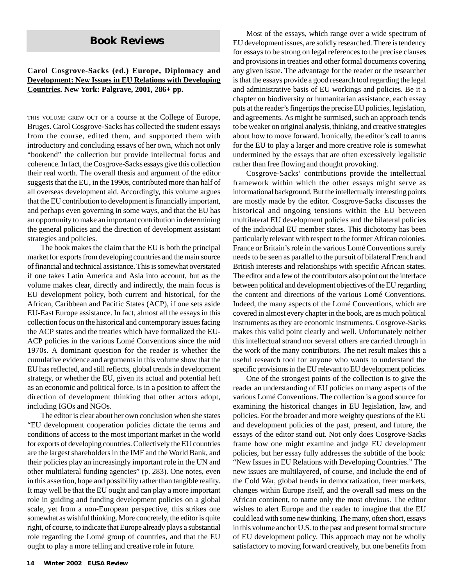# **Book Reviews**

### **Carol Cosgrove-Sacks (ed.) Europe, Diplomacy and Development: New Issues in EU Relations with Developing Countries. New York: Palgrave, 2001, 286+ pp.**

THIS VOLUME GREW OUT OF a course at the College of Europe, Bruges. Carol Cosgrove-Sacks has collected the student essays from the course, edited them, and supported them with introductory and concluding essays of her own, which not only "bookend" the collection but provide intellectual focus and coherence. In fact, the Cosgrove-Sacks essays give this collection their real worth. The overall thesis and argument of the editor suggests that the EU, in the 1990s, contributed more than half of all overseas development aid. Accordingly, this volume argues that the EU contribution to development is financially important, and perhaps even governing in some ways, and that the EU has an opportunity to make an important contribution in determining the general policies and the direction of development assistant strategies and policies.

The book makes the claim that the EU is both the principal market for exports from developing countries and the main source of financial and technical assistance. This is somewhat overstated if one takes Latin America and Asia into account, but as the volume makes clear, directly and indirectly, the main focus is EU development policy, both current and historical, for the African, Caribbean and Pacific States (ACP), if one sets aside EU-East Europe assistance. In fact, almost all the essays in this collection focus on the historical and contemporary issues facing the ACP states and the treaties which have formalized the EU-ACP policies in the various Lomé Conventions since the mid 1970s. A dominant question for the reader is whether the cumulative evidence and arguments in this volume show that the EU has reflected, and still reflects, global trends in development strategy, or whether the EU, given its actual and potential heft as an economic and political force, is in a position to affect the direction of development thinking that other actors adopt, including IGOs and NGOs.

The editor is clear about her own conclusion when she states "EU development cooperation policies dictate the terms and conditions of access to the most important market in the world for exports of developing countries. Collectively the EU countries are the largest shareholders in the IMF and the World Bank, and their policies play an increasingly important role in the UN and other multilateral funding agencies" (p. 283). One notes, even in this assertion, hope and possibility rather than tangible reality. It may well be that the EU ought and can play a more important role in guiding and funding development policies on a global scale, yet from a non-European perspective, this strikes one somewhat as wishful thinking. More concretely, the editor is quite right, of course, to indicate that Europe already plays a substantial role regarding the Lomé group of countries, and that the EU ought to play a more telling and creative role in future.

The editor and a few of the contributors also point out the interface between political and development objectives of the EU regarding the content and directions of the various Lomé Conventions. Indeed, the many aspects of the Lomé Conventions, which are covered in almost every chapter in the book, are as much political instruments as they are economic instruments. Cosgrove-Sacks makes this valid point clearly and well. Unfortunately neither this intellectual strand nor several others are carried through in the work of the many contributors. The net result makes this a useful research tool for anyone who wants to understand the

> specific provisions in the EU relevant to EU development policies. One of the strongest points of the collection is to give the reader an understanding of EU policies on many aspects of the various Lomé Conventions. The collection is a good source for examining the historical changes in EU legislation, law, and policies. For the broader and more weighty questions of the EU and development policies of the past, present, and future, the essays of the editor stand out. Not only does Cosgrove-Sacks frame how one might examine and judge EU development policies, but her essay fully addresses the subtitle of the book: "New Issues in EU Relations with Developing Countries." The new issues are multilayered, of course, and include the end of the Cold War, global trends in democratization, freer markets, changes within Europe itself, and the overall sad mess on the African continent, to name only the most obvious. The editor wishes to alert Europe and the reader to imagine that the EU could lead with some new thinking. The many, often short, essays in this volume anchor U.S. to the past and present formal structure of EU development policy. This approach may not be wholly satisfactory to moving forward creatively, but one benefits from

> Most of the essays, which range over a wide spectrum of EU development issues, are solidly researched. There is tendency for essays to be strong on legal references to the precise clauses and provisions in treaties and other formal documents covering any given issue. The advantage for the reader or the researcher is that the essays provide a good research tool regarding the legal and administrative basis of EU workings and policies. Be it a chapter on biodiversity or humanitarian assistance, each essay puts at the reader's fingertips the precise EU policies, legislation, and agreements. As might be surmised, such an approach tends to be weaker on original analysis, thinking, and creative strategies about how to move forward. Ironically, the editor's call to arms for the EU to play a larger and more creative role is somewhat undermined by the essays that are often excessively legalistic

> Cosgrove-Sacks' contributions provide the intellectual framework within which the other essays might serve as informational background. But the intellectually interesting points are mostly made by the editor. Cosgrove-Sacks discusses the historical and ongoing tensions within the EU between multilateral EU development policies and the bilateral policies of the individual EU member states. This dichotomy has been particularly relevant with respect to the former African colonies. France or Britain's role in the various Lomé Conventions surely needs to be seen as parallel to the pursuit of bilateral French and British interests and relationships with specific African states.

rather than free flowing and thought provoking.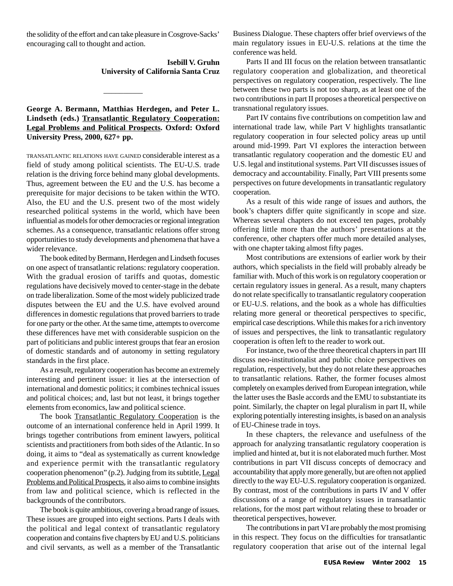the solidity of the effort and can take pleasure in Cosgrove-Sacks' encouraging call to thought and action.

> **Isebill V. Gruhn University of California Santa Cruz**

**George A. Bermann, Matthias Herdegen, and Peter L. Lindseth (eds.) Transatlantic Regulatory Cooperation: Legal Problems and Political Prospects. Oxford: Oxford University Press, 2000, 627+ pp.**

 $\overline{\phantom{a}}$ 

TRANSATLANTIC RELATIONS HAVE GAINED considerable interest as a field of study among political scientists. The EU-U.S. trade relation is the driving force behind many global developments. Thus, agreement between the EU and the U.S. has become a prerequisite for major decisions to be taken within the WTO. Also, the EU and the U.S. present two of the most widely researched political systems in the world, which have been influential as models for other democracies or regional integration schemes. As a consequence, transatlantic relations offer strong opportunities to study developments and phenomena that have a wider relevance.

The book edited by Bermann, Herdegen and Lindseth focuses on one aspect of transatlantic relations: regulatory cooperation. With the gradual erosion of tariffs and quotas, domestic regulations have decisively moved to center-stage in the debate on trade liberalization. Some of the most widely publicized trade disputes between the EU and the U.S. have evolved around differences in domestic regulations that proved barriers to trade for one party or the other. At the same time, attempts to overcome these differences have met with considerable suspicion on the part of politicians and public interest groups that fear an erosion of domestic standards and of autonomy in setting regulatory standards in the first place.

As a result, regulatory cooperation has become an extremely interesting and pertinent issue: it lies at the intersection of international and domestic politics; it combines technical issues and political choices; and, last but not least, it brings together elements from economics, law and political science.

The book Transatlantic Regulatory Cooperation is the outcome of an international conference held in April 1999. It brings together contributions from eminent lawyers, political scientists and practitioners from both sides of the Atlantic. In so doing, it aims to "deal as systematically as current knowledge and experience permit with the transatlantic regulatory cooperation phenomenon" (p.2). Judging from its subtitle, Legal Problems and Political Prospects, it also aims to combine insights from law and political science, which is reflected in the backgrounds of the contributors.

The book is quite ambitious, covering a broad range of issues. These issues are grouped into eight sections. Parts I deals with the political and legal context of transatlantic regulatory cooperation and contains five chapters by EU and U.S. politicians and civil servants, as well as a member of the Transatlantic Business Dialogue. These chapters offer brief overviews of the main regulatory issues in EU-U.S. relations at the time the conference was held.

Parts II and III focus on the relation between transatlantic regulatory cooperation and globalization, and theoretical perspectives on regulatory cooperation, respectively. The line between these two parts is not too sharp, as at least one of the two contributions in part II proposes a theoretical perspective on transnational regulatory issues.

Part IV contains five contributions on competition law and international trade law, while Part V highlights transatlantic regulatory cooperation in four selected policy areas up until around mid-1999. Part VI explores the interaction between transatlantic regulatory cooperation and the domestic EU and U.S. legal and institutional systems. Part VII discusses issues of democracy and accountability. Finally, Part VIII presents some perspectives on future developments in transatlantic regulatory cooperation.

As a result of this wide range of issues and authors, the book's chapters differ quite significantly in scope and size. Whereas several chapters do not exceed ten pages, probably offering little more than the authors' presentations at the conference, other chapters offer much more detailed analyses, with one chapter taking almost fifty pages.

Most contributions are extensions of earlier work by their authors, which specialists in the field will probably already be familiar with. Much of this work is on regulatory cooperation or certain regulatory issues in general. As a result, many chapters do not relate specifically to transatlantic regulatory cooperation or EU-U.S. relations, and the book as a whole has difficulties relating more general or theoretical perspectives to specific, empirical case descriptions. While this makes for a rich inventory of issues and perspectives, the link to transatlantic regulatory cooperation is often left to the reader to work out.

For instance, two of the three theoretical chapters in part III discuss neo-institutionalist and public choice perspectives on regulation, respectively, but they do not relate these approaches to transatlantic relations. Rather, the former focuses almost completely on examples derived from European integration, while the latter uses the Basle accords and the EMU to substantiate its point. Similarly, the chapter on legal pluralism in part II, while exploring potentially interesting insights, is based on an analysis of EU-Chinese trade in toys.

In these chapters, the relevance and usefulness of the approach for analyzing transatlantic regulatory cooperation is implied and hinted at, but it is not elaborated much further. Most contributions in part VII discuss concepts of democracy and accountability that apply more generally, but are often not applied directly to the way EU-U.S. regulatory cooperation is organized. By contrast, most of the contributions in parts IV and V offer discussions of a range of regulatory issues in transatlantic relations, for the most part without relating these to broader or theoretical perspectives, however.

The contributions in part VI are probably the most promising in this respect. They focus on the difficulties for transatlantic regulatory cooperation that arise out of the internal legal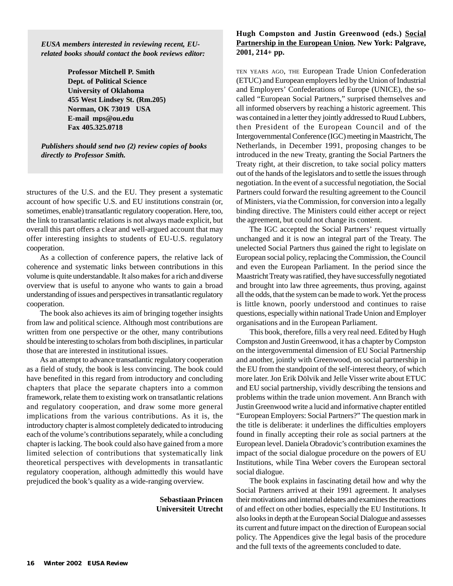EUSA members interested in reviewing recent, EU*related books should contact the book reviews editor:* 

> **Professor Mitchell P. Smith Dept. of Political Science University of Oklahoma 455 West Lindsey St. (Rm.205) Norman, OK 73019 USA E-mail mps@ou.edu Fax 405.325.0718**

*Publishers should send two (2) review copies of books* directly to Professor Smith.

structures of the U.S. and the EU. They present a systematic account of how specific U.S. and EU institutions constrain (or, sometimes, enable) transatlantic regulatory cooperation. Here, too, the link to transatlantic relations is not always made explicit, but overall this part offers a clear and well-argued account that may offer interesting insights to students of EU-U.S. regulatory cooperation.

As a collection of conference papers, the relative lack of coherence and systematic links between contributions in this volume is quite understandable. It also makes for a rich and diverse overview that is useful to anyone who wants to gain a broad understanding of issues and perspectives in transatlantic regulatory cooperation.

The book also achieves its aim of bringing together insights from law and political science. Although most contributions are written from one perspective or the other, many contributions should be interesting to scholars from both disciplines, in particular those that are interested in institutional issues.

As an attempt to advance transatlantic regulatory cooperation as a field of study, the book is less convincing. The book could have benefited in this regard from introductory and concluding chapters that place the separate chapters into a common framework, relate them to existing work on transatlantic relations and regulatory cooperation, and draw some more general implications from the various contributions. As it is, the introductory chapter is almost completely dedicated to introducing each of the volume's contributions separately, while a concluding chapter is lacking. The book could also have gained from a more limited selection of contributions that systematically link theoretical perspectives with developments in transatlantic regulatory cooperation, although admittedly this would have prejudiced the book's quality as a wide-ranging overview.

### **Sebastiaan Princen Universiteit Utrecht**

## **Hugh Compston and Justin Greenwood (eds.) Social Partnership in the European Union. New York: Palgrave, 2001, 214+ pp.**

TEN YEARS AGO, THE European Trade Union Confederation (ETUC) and European employers led by the Union of Industrial and Employers' Confederations of Europe (UNICE), the socalled "European Social Partners," surprised themselves and all informed observers by reaching a historic agreement. This was contained in a letter they jointly addressed to Ruud Lubbers, then President of the European Council and of the Intergovernmental Conference (IGC) meeting in Maastricht, The Netherlands, in December 1991, proposing changes to be introduced in the new Treaty, granting the Social Partners the Treaty right, at their discretion, to take social policy matters out of the hands of the legislators and to settle the issues through negotiation. In the event of a successful negotiation, the Social Partners could forward the resulting agreement to the Council of Ministers, via the Commission, for conversion into a legally binding directive. The Ministers could either accept or reject the agreement, but could not change its content.

 The IGC accepted the Social Partners' request virtually unchanged and it is now an integral part of the Treaty. The unelected Social Partners thus gained the right to legislate on European social policy, replacing the Commission, the Council and even the European Parliament. In the period since the Maastricht Treaty was ratified, they have successfully negotiated and brought into law three agreements, thus proving, against all the odds, that the system can be made to work. Yet the process is little known, poorly understood and continues to raise questions, especially within national Trade Union and Employer organisations and in the European Parliament.

This book, therefore, fills a very real need. Edited by Hugh Compston and Justin Greenwood, it has a chapter by Compston on the intergovernmental dimension of EU Social Partnership and another, jointly with Greenwood, on social partnership in the EU from the standpoint of the self-interest theory, of which more later. Jon Erik Dölvik and Jelle Visser write about ETUC and EU social partnership, vividly describing the tensions and problems within the trade union movement. Ann Branch with Justin Greenwood write a lucid and informative chapter entitled "European Employers: Social Partners?" The question mark in the title is deliberate: it underlines the difficulties employers found in finally accepting their role as social partners at the European level. Daniela Obradovic's contribution examines the impact of the social dialogue procedure on the powers of EU Institutions, while Tina Weber covers the European sectoral social dialogue.

The book explains in fascinating detail how and why the Social Partners arrived at their 1991 agreement. It analyses their motivations and internal debates and examines the reactions of and effect on other bodies, especially the EU Institutions. It also looks in depth at the European Social Dialogue and assesses its current and future impact on the direction of European social policy. The Appendices give the legal basis of the procedure and the full texts of the agreements concluded to date.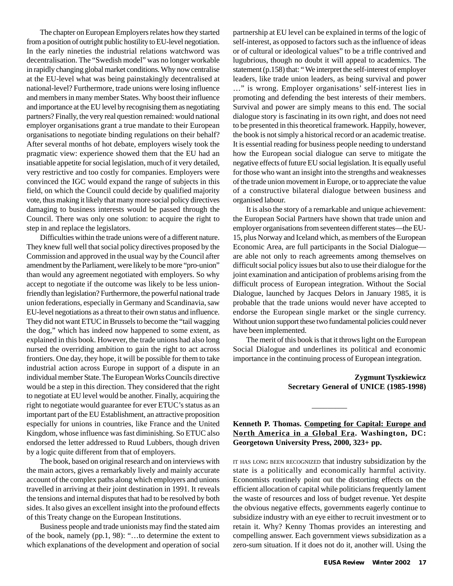The chapter on European Employers relates how they started from a position of outright public hostility to EU-level negotiation. In the early nineties the industrial relations watchword was decentralisation. The "Swedish model" was no longer workable in rapidly changing global market conditions. Why now centralise at the EU-level what was being painstakingly decentralised at national-level? Furthermore, trade unions were losing influence and members in many member States. Why boost their influence and importance at the EU level by recognising them as negotiating partners? Finally, the very real question remained: would national employer organisations grant a true mandate to their European organisations to negotiate binding regulations on their behalf? After several months of hot debate, employers wisely took the pragmatic view: experience showed them that the EU had an insatiable appetite for social legislation, much of it very detailed, very restrictive and too costly for companies. Employers were convinced the IGC would expand the range of subjects in this field, on which the Council could decide by qualified majority vote, thus making it likely that many more social policy directives damaging to business interests would be passed through the Council. There was only one solution: to acquire the right to step in and replace the legislators.

Difficulties within the trade unions were of a different nature. They knew full well that social policy directives proposed by the Commission and approved in the usual way by the Council after amendment by the Parliament, were likely to be more "pro-union" than would any agreement negotiated with employers. So why accept to negotiate if the outcome was likely to be less unionfriendly than legislation? Furthermore, the powerful national trade union federations, especially in Germany and Scandinavia, saw EU-level negotiations as a threat to their own status and influence. They did not want ETUC in Brussels to become the "tail wagging the dog," which has indeed now happened to some extent, as explained in this book. However, the trade unions had also long nursed the overriding ambition to gain the right to act across frontiers. One day, they hope, it will be possible for them to take industrial action across Europe in support of a dispute in an individual member State. The European Works Councils directive would be a step in this direction. They considered that the right to negotiate at EU level would be another. Finally, acquiring the right to negotiate would guarantee for ever ETUC's status as an important part of the EU Establishment, an attractive proposition especially for unions in countries, like France and the United Kingdom, whose influence was fast diminishing. So ETUC also endorsed the letter addressed to Ruud Lubbers, though driven by a logic quite different from that of employers.

The book, based on original research and on interviews with the main actors, gives a remarkably lively and mainly accurate account of the complex paths along which employers and unions travelled in arriving at their joint destination in 1991. It reveals the tensions and internal disputes that had to be resolved by both sides. It also gives an excellent insight into the profound effects of this Treaty change on the European Institutions.

Business people and trade unionists may find the stated aim of the book, namely (pp.1, 98): "…to determine the extent to which explanations of the development and operation of social partnership at EU level can be explained in terms of the logic of self-interest, as opposed to factors such as the influence of ideas or of cultural or ideological values" to be a trifle contrived and lugubrious, though no doubt it will appeal to academics. The statement (p.158) that: " We interpret the self-interest of employer leaders, like trade union leaders, as being survival and power …" is wrong. Employer organisations' self-interest lies in promoting and defending the best interests of their members. Survival and power are simply means to this end. The social dialogue story is fascinating in its own right, and does not need to be presented in this theoretical framework. Happily, however, the book is not simply a historical record or an academic treatise. It is essential reading for business people needing to understand how the European social dialogue can serve to mitigate the negative effects of future EU social legislation. It is equally useful for those who want an insight into the strengths and weaknesses of the trade union movement in Europe, or to appreciate the value of a constructive bilateral dialogue between business and organised labour.

It is also the story of a remarkable and unique achievement: the European Social Partners have shown that trade union and employer organisations from seventeen different states—the EU-15, plus Norway and Iceland which, as members of the European Economic Area, are full participants in the Social Dialogue are able not only to reach agreements among themselves on difficult social policy issues but also to use their dialogue for the joint examination and anticipation of problems arising from the difficult process of European integration. Without the Social Dialogue, launched by Jacques Delors in January 1985, it is probable that the trade unions would never have accepted to endorse the European single market or the single currency. Without union support these two fundamental policies could never have been implemented.

The merit of this book is that it throws light on the European Social Dialogue and underlines its political and economic importance in the continuing process of European integration.

> **Zygmunt Tyszkiewicz Secretary General of UNICE (1985-1998)**

**Kenneth P. Thomas. Competing for Capital: Europe and North America in a Global Era. Washington, DC: Georgetown University Press, 2000, 323+ pp.**

 $\overline{\phantom{a}}$ 

IT HAS LONG BEEN RECOGNIZED that industry subsidization by the state is a politically and economically harmful activity. Economists routinely point out the distorting effects on the efficient allocation of capital while politicians frequently lament the waste of resources and loss of budget revenue. Yet despite the obvious negative effects, governments eagerly continue to subsidize industry with an eye either to recruit investment or to retain it. Why? Kenny Thomas provides an interesting and compelling answer. Each government views subsidization as a zero-sum situation. If it does not do it, another will. Using the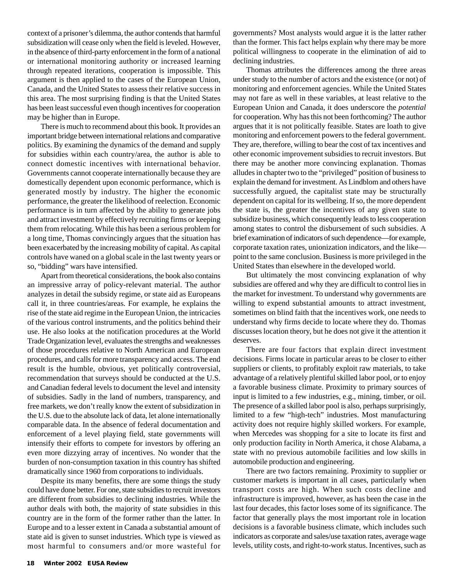context of a prisoner's dilemma, the author contends that harmful subsidization will cease only when the field is leveled. However, in the absence of third-party enforcement in the form of a national or international monitoring authority or increased learning through repeated iterations, cooperation is impossible. This argument is then applied to the cases of the European Union, Canada, and the United States to assess their relative success in this area. The most surprising finding is that the United States has been least successful even though incentives for cooperation may be higher than in Europe.

There is much to recommend about this book. It provides an important bridge between international relations and comparative politics. By examining the dynamics of the demand and supply for subsidies within each country/area, the author is able to connect domestic incentives with international behavior. Governments cannot cooperate internationally because they are domestically dependent upon economic performance, which is generated mostly by industry. The higher the economic performance, the greater the likelihood of reelection. Economic performance is in turn affected by the ability to generate jobs and attract investment by effectively recruiting firms or keeping them from relocating. While this has been a serious problem for a long time, Thomas convincingly argues that the situation has been exacerbated by the increasing mobility of capital. As capital controls have waned on a global scale in the last twenty years or so, "bidding" wars have intensified.

Apart from theoretical considerations, the book also contains an impressive array of policy-relevant material. The author analyzes in detail the subsidy regime, or state aid as Europeans call it, in three countries/areas. For example, he explains the rise of the state aid regime in the European Union, the intricacies of the various control instruments, and the politics behind their use. He also looks at the notification procedures at the World Trade Organization level, evaluates the strengths and weaknesses of those procedures relative to North American and European procedures, and calls for more transparency and access. The end result is the humble, obvious, yet politically controversial, recommendation that surveys should be conducted at the U.S. and Canadian federal levels to document the level and intensity of subsidies. Sadly in the land of numbers, transparency, and free markets, we don't really know the extent of subsidization in the U.S. due to the absolute lack of data, let alone internationally comparable data. In the absence of federal documentation and enforcement of a level playing field, state governments will intensify their efforts to compete for investors by offering an even more dizzying array of incentives. No wonder that the burden of non-consumption taxation in this country has shifted dramatically since 1960 from corporations to individuals.

Despite its many benefits, there are some things the study could have done better. For one, state subsidies to recruit investors are different from subsidies to declining industries. While the author deals with both, the majority of state subsidies in this country are in the form of the former rather than the latter. In Europe and to a lesser extent in Canada a substantial amount of state aid is given to sunset industries. Which type is viewed as most harmful to consumers and/or more wasteful for governments? Most analysts would argue it is the latter rather than the former. This fact helps explain why there may be more political willingness to cooperate in the elimination of aid to declining industries.

Thomas attributes the differences among the three areas under study to the number of actors and the existence (or not) of monitoring and enforcement agencies. While the United States may not fare as well in these variables, at least relative to the European Union and Canada, it does underscore the *potential* for cooperation. Why has this not been forthcoming? The author argues that it is not politically feasible. States are loath to give monitoring and enforcement powers to the federal government. They are, therefore, willing to bear the cost of tax incentives and other economic improvement subsidies to recruit investors. But there may be another more convincing explanation. Thomas alludes in chapter two to the "privileged" position of business to explain the demand for investment. As Lindblom and others have successfully argued, the capitalist state may be structurally dependent on capital for its wellbeing. If so, the more dependent the state is, the greater the incentives of any given state to subsidize business, which consequently leads to less cooperation among states to control the disbursement of such subsidies. A brief examination of indicators of such dependence—for example, corporate taxation rates, unionization indicators, and the like point to the same conclusion. Business is more privileged in the United States than elsewhere in the developed world.

But ultimately the most convincing explanation of why subsidies are offered and why they are difficult to control lies in the market for investment. To understand why governments are willing to expend substantial amounts to attract investment, sometimes on blind faith that the incentives work, one needs to understand why firms decide to locate where they do. Thomas discusses location theory, but he does not give it the attention it deserves.

There are four factors that explain direct investment decisions. Firms locate in particular areas to be closer to either suppliers or clients, to profitably exploit raw materials, to take advantage of a relatively plentiful skilled labor pool, or to enjoy a favorable business climate. Proximity to primary sources of input is limited to a few industries, e.g., mining, timber, or oil. The presence of a skilled labor pool is also, perhaps surprisingly, limited to a few "high-tech" industries. Most manufacturing activity does not require highly skilled workers. For example, when Mercedes was shopping for a site to locate its first and only production facility in North America, it chose Alabama, a state with no previous automobile facilities and low skills in automobile production and engineering.

There are two factors remaining. Proximity to supplier or customer markets is important in all cases, particularly when transport costs are high. When such costs decline and infrastructure is improved, however, as has been the case in the last four decades, this factor loses some of its significance. The factor that generally plays the most important role in location decisions is a favorable business climate, which includes such indicators as corporate and sales/use taxation rates, average wage levels, utility costs, and right-to-work status. Incentives, such as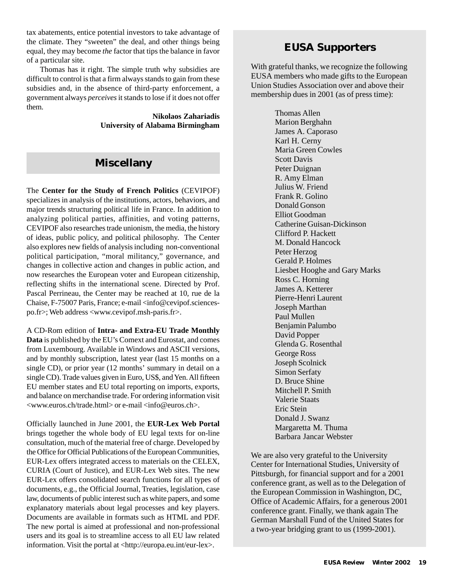tax abatements, entice potential investors to take advantage of the climate. They "sweeten" the deal, and other things being equal, they may become *the* factor that tips the balance in favor of a particular site.

Thomas has it right. The simple truth why subsidies are difficult to control is that a firm always stands to gain from these subsidies and, in the absence of third-party enforcement, a government always *perceives* it stands to lose if it does not offer them.

> **Nikolaos Zahariadis University of Alabama Birmingham**

# **Miscellany**

The **Center for the Study of French Politics** (CEVIPOF) specializes in analysis of the institutions, actors, behaviors, and major trends structuring political life in France. In addition to analyzing political parties, affinities, and voting patterns, CEVIPOF also researches trade unionism, the media, the history of ideas, public policy, and political philosophy. The Center also explores new fields of analysis including non-conventional political participation, "moral militancy," governance, and changes in collective action and changes in public action, and now researches the European voter and European citizenship, reflecting shifts in the international scene. Directed by Prof. Pascal Perrineau, the Center may be reached at 10, rue de la Chaise, F-75007 Paris, France; e-mail <info@cevipof.sciencespo.fr>; Web address <www.cevipof.msh-paris.fr>.

A CD-Rom edition of **Intra- and Extra-EU Trade Monthly Data** is published by the EU's Comext and Eurostat, and comes from Luxembourg. Available in Windows and ASCII versions, and by monthly subscription, latest year (last 15 months on a single CD), or prior year (12 months' summary in detail on a single CD). Trade values given in Euro, US\$, and Yen. All fifteen EU member states and EU total reporting on imports, exports, and balance on merchandise trade. For ordering information visit  $\langle$ www.euros.ch/trade.html> or e-mail  $\langle$  info@euros.ch>.

Officially launched in June 2001, the **EUR-Lex Web Portal** brings together the whole body of EU legal texts for on-line consultation, much of the material free of charge. Developed by the Office for Official Publications of the European Communities, EUR-Lex offers integrated access to materials on the CELEX, CURIA (Court of Justice), and EUR-Lex Web sites. The new EUR-Lex offers consolidated search functions for all types of documents, e.g., the Official Journal, Treaties, legislation, case law, documents of public interest such as white papers, and some explanatory materials about legal processes and key players. Documents are available in formats such as HTML and PDF. The new portal is aimed at professional and non-professional users and its goal is to streamline access to all EU law related information. Visit the portal at <http://europa.eu.int/eur-lex>.

# **EUSA Supporters**

With grateful thanks, we recognize the following EUSA members who made gifts to the European Union Studies Association over and above their membership dues in 2001 (as of press time):

> Thomas Allen Marion Berghahn James A. Caporaso Karl H. Cerny Maria Green Cowles Scott Davis Peter Duignan R. Amy Elman Julius W. Friend Frank R. Golino Donald Gonson Elliot Goodman Catherine Guisan-Dickinson Clifford P. Hackett M. Donald Hancock Peter Herzog Gerald P. Holmes Liesbet Hooghe and Gary Marks Ross C. Horning James A. Ketterer Pierre-Henri Laurent Joseph Marthan Paul Mullen Benjamin Palumbo David Popper Glenda G. Rosenthal George Ross Joseph Scolnick Simon Serfaty D. Bruce Shine Mitchell P. Smith Valerie Staats Eric Stein Donald J. Swanz Margaretta M. Thuma Barbara Jancar Webster

We are also very grateful to the University Center for International Studies, University of Pittsburgh, for financial support and for a 2001 conference grant, as well as to the Delegation of the European Commission in Washington, DC, Office of Academic Affairs, for a generous 2001 conference grant. Finally, we thank again The German Marshall Fund of the United States for a two-year bridging grant to us (1999-2001).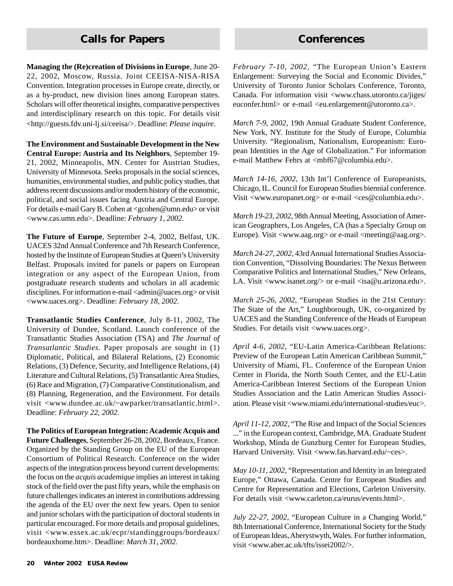# **Calls for Papers Conferences**

**Managing the (Re)creation of Divisions in Europe**, June 20- 22, 2002, Moscow, Russia. Joint CEEISA-NISA-RISA Convention. Integration processes in Europe create, directly, or as a by-product, new division lines among European states. Scholars will offer theoretical insights, comparative perspectives and interdisciplinary research on this topic. For details visit <http://guests.fdv.uni-lj.si/ceeisa/>. Deadline: *Please inquire*.

**The Environment and Sustainable Development in the New Central Europe: Austria and Its Neighbors**, September 19- 21, 2002, Minneapolis, MN. Center for Austrian Studies, University of Minnesota. Seeks proposals in the social sciences, humanities, environmental studies, and public policy studies, that address recent discussions and/or modern history of the economic, political, and social issues facing Austria and Central Europe. For details e-mail Gary B. Cohen at <gcohen@umn.edu> or visit <www.cas.umn.edu>. Deadline: *February 1, 2002.*

**The Future of Europe**, September 2-4, 2002, Belfast, UK. UACES 32nd Annual Conference and 7th Research Conference, hosted by the Institute of European Studies at Queen's University Belfast. Proposals invited for panels or papers on European integration or any aspect of the European Union, from postgraduate research students and scholars in all academic disciplines. For information e-mail <admin@uaces.org> or visit <www.uaces.org>. Deadline: *February 18, 2002.*

**Transatlantic Studies Conference**, July 8-11, 2002, The University of Dundee, Scotland. Launch conference of the Transatlantic Studies Association (TSA) and *The Journal of Transatlantic Studies*. Paper proposals are sought in (1) Diplomatic, Political, and Bilateral Relations, (2) Economic Relations, (3) Defence, Security, and Intelligence Relations, (4) Literature and Cultural Relations, (5) Transatlantic Area Studies, (6) Race and Migration, (7) Comparative Constitutionalism, and (8) Planning, Regeneration, and the Environment. For details visit <www.dundee.ac.uk/~awparker/transatlantic.html>. Deadline: *February 22, 2002*.

**The Politics of European Integration: Academic Acquis and Future Challenges**, September 26-28, 2002, Bordeaux, France. Organized by the Standing Group on the EU of the European Consortium of Political Research. Conference on the wider aspects of the integration process beyond current developments: the focus on the *acquis academique* implies an interest in taking stock of the field over the past fifty years, while the emphasis on future challenges indicates an interest in contributions addressing the agenda of the EU over the next few years. Open to senior and junior scholars with the participation of doctoral students in particular encouraged. For more details and proposal guidelines, visit <www.essex.ac.uk/ecpr/standinggroups/bordeaux/ bordeauxhome.htm>. Deadline: *March 31, 2002.*

*February 7-10, 2002,* "The European Union's Eastern Enlargement: Surveying the Social and Economic Divides," University of Toronto Junior Scholars Conference, Toronto, Canada. For information visit <www.chass.utoronto.ca/jiges/ euconfer.html> or e-mail <eu.enlargement@utoronto.ca>.

*March 7-9, 2002,* 19th Annual Graduate Student Conference, New York, NY. Institute for the Study of Europe, Columbia University. "Regionalism, Nationalism, Europeanism: European Identities in the Age of Globalization." For information e-mail Matthew Fehrs at <mbf67@columbia.edu>.

*March 14-16, 2002*, 13th Int'l Conference of Europeanists, Chicago, IL. Council for European Studies biennial conference. Visit <www.europanet.org> or e-mail <ces@columbia.edu>.

*March 19-23, 2002*, 98th Annual Meeting, Association of American Geographers, Los Angeles, CA (has a Specialty Group on Europe). Visit <www.aag.org> or e-mail <meeting@aag.org>.

*March 24-27, 2002*, 43rd Annual International Studies Association Convention, "Dissolving Boundaries: The Nexus Between Comparative Politics and International Studies," New Orleans, LA. Visit <www.isanet.org/> or e-mail <isa@u.arizona.edu>.

*March 25-26, 2002,* "European Studies in the 21st Century: The State of the Art," Loughborough, UK, co-organized by UACES and the Standing Conference of the Heads of European Studies. For details visit <www.uaces.org>.

*April 4-6, 2002,* "EU-Latin America-Caribbean Relations: Preview of the European Latin American Caribbean Summit," University of Miami, FL. Conference of the European Union Center in Florida, the North South Center, and the EU-Latin America-Caribbean Interest Sections of the European Union Studies Association and the Latin American Studies Association. Please visit <www.miami.edu/international-studies/euc>.

*April 11-12, 2002,* "The Rise and Impact of the Social Sciences ..." in the European context, Cambridge, MA. Graduate Student Workshop, Minda de Gunzburg Center for European Studies, Harvard University. Visit <www.fas.harvard.edu/~ces>.

*May 10-11, 2002,* "Representation and Identity in an Integrated Europe," Ottawa, Canada. Centre for European Studies and Centre for Representation and Elections, Carleton University. For details visit <www.carleton.ca/eurus/events.html>.

*July 22-27, 2002*, "European Culture in a Changing World," 8th International Conference, International Society for the Study of European Ideas, Aberystwyth, Wales. For further information, visit <www.aber.ac.uk/tfts/issei2002/>.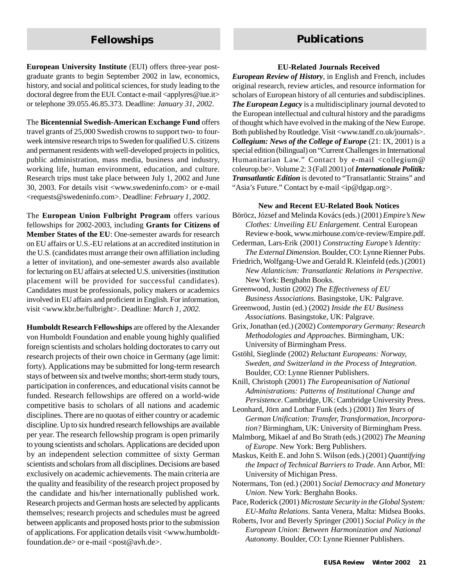**European University Institute** (EUI) offers three-year postgraduate grants to begin September 2002 in law, economics, history, and social and political sciences, for study leading to the doctoral degree from the EUI. Contact e-mail <applyres@iue.it> or telephone 39.055.46.85.373. Deadline: *January 31, 2002*.

The **Bicentennial Swedish-American Exchange Fund** offers travel grants of 25,000 Swedish crowns to support two- to fourweek intensive research trips to Sweden for qualified U.S. citizens and permanent residents with well-developed projects in politics, public administration, mass media, business and industry, working life, human environment, education, and culture. Research trips must take place between July 1, 2002 and June 30, 2003. For details visit <www.swedeninfo.com> or e-mail <requests@swedeninfo.com>. Deadline: *February 1, 2002*.

The **European Union Fulbright Program** offers various fellowships for 2002-2003, including **Grants for Citizens of Member States of the EU**: One-semester awards for research on EU affairs or U.S.-EU relations at an accredited institution in the U.S. (candidates must arrange their own affiliation including a letter of invitation), and one-semester awards also available for lecturing on EU affairs at selected U.S. universities (institution placement will be provided for successful candidates). Candidates must be professionals, policy makers or academics involved in EU affairs and proficient in English. For information, visit <www.kbr.be/fulbright>. Deadline: *March 1, 2002.*

**Humboldt Research Fellowships** are offered by the Alexander von Humboldt Foundation and enable young highly qualified foreign scientists and scholars holding doctorates to carry out research projects of their own choice in Germany (age limit: forty). Applications may be submitted for long-term research stays of between six and twelve months; short-term study tours, participation in conferences, and educational visits cannot be funded. Research fellowships are offered on a world-wide competitive basis to scholars of all nations and academic disciplines. There are no quotas of either country or academic discipline. Up to six hundred research fellowships are available per year. The research fellowship program is open primarily to young scientists and scholars. Applications are decided upon by an independent selection committee of sixty German scientists and scholars from all disciplines. Decisions are based exclusively on academic achievements. The main criteria are the quality and feasibility of the research project proposed by the candidate and his/her internationally published work. Research projects and German hosts are selected by applicants themselves; research projects and schedules must be agreed between applicants and proposed hosts prior to the submission of applications. For application details visit <www.humboldtfoundation.de> or e-mail <post@avh.de>.

# **Fellowships Publications**

### **EU-Related Journals Received**

*European Review of History*, in English and French, includes original research, review articles, and resource information for scholars of European history of all centuries and subdisciplines. *The European Legacy* is a multidisciplinary journal devoted to the European intellectual and cultural history and the paradigms of thought which have evolved in the making of the New Europe. Both published by Routledge. Visit <www.tandf.co.uk/journals>. **Collegium: News of the College of Europe** (21: IX, 2001) is a special edition (bilingual) on "Current Challenges in International Humanitarian Law." Contact by e-mail <collegium@ coleurop.be>. Volume 2: 3 (Fall 2001) of *Internationale Politik:* **Transatlantic Edition** is devoted to "Transatlantic Strains" and "Asia's Future." Contact by e-mail <ip@dgap.org>.

#### **New and Recent EU-Related Book Notices**

- Böröcz, József and Melinda Kovács (eds.) (2001) *Empire's New Clothes: Unveiling EU Enlargement*. Central European Review e-book, www.mirhouse.com/ce-review/Empire.pdf.
- Cederman, Lars-Erik (2001) *Constructing Europe's Identity: The External Dimension*. Boulder, CO: Lynne Rienner Pubs.
- Friedrich, Wolfgang-Uwe and Gerald R. Kleinfeld (eds.) (2001) *New Atlanticism: Transatlantic Relations in Perspective*. New York: Berghahn Books.
- Greenwood, Justin (2002) *The Effectiveness of EU Business Associations.* Basingstoke, UK: Palgrave.
- Greenwood, Justin (ed.) (2002) *Inside the EU Business Associations*. Basingstoke, UK: Palgrave.
- Grix, Jonathan (ed.) (2002) *Contemporary Germany: Research Methodologies and Approaches*. Birmingham, UK: University of Birmingham Press.
- Gstöhl, Sieglinde (2002) *Reluctant Europeans: Norway, Sweden, and Switzerland in the Process of Integration*. Boulder, CO: Lynne Rienner Publishers.
- Knill, Christoph (2001) *The Europeanisation of National Administrations: Patterns of Institutional Change and Persistence*. Cambridge, UK: Cambridge University Press.
- Leonhard, Jörn and Lothar Funk (eds.) (2001) *Ten Years of German Unification: Transfer, Transformation, Incorporation?* Birmingham, UK: University of Birmingham Press.
- Malmborg, Mikael af and Bo Strath (eds.) (2002) *The Meaning of Europe*. New York: Berg Publishers.
- Maskus, Keith E. and John S. Wilson (eds.) (2001) *Quantifying the Impact of Technical Barriers to Trade*. Ann Arbor, MI: University of Michigan Press.
- Notermans, Ton (ed.) (2001) *Social Democracy and Monetary Union*. New York: Berghahn Books.
- Pace, Roderick (2001) *Microstate Security in the Global System: EU-Malta Relations*. Santa Venera, Malta: Midsea Books.

Roberts, Ivor and Beverly Springer (2001) *Social Policy in the European Union: Between Harmonization and National Autonomy*. Boulder, CO: Lynne Rienner Publishers.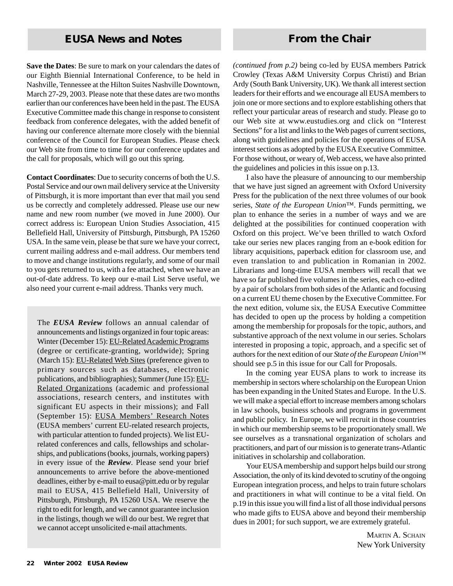**Save the Dates**: Be sure to mark on your calendars the dates of our Eighth Biennial International Conference, to be held in Nashville, Tennessee at the Hilton Suites Nashville Downtown, March 27-29, 2003. Please note that these dates are two months earlier than our conferences have been held in the past. The EUSA Executive Committee made this change in response to consistent feedback from conference delegates, with the added benefit of having our conference alternate more closely with the biennial conference of the Council for European Studies. Please check our Web site from time to time for our conference updates and the call for proposals, which will go out this spring.

**Contact Coordinates**: Due to security concerns of both the U.S. Postal Service and our own mail delivery service at the University of Pittsburgh, it is more important than ever that mail you send us be correctly and completely addressed. Please use our new name and new room number (we moved in June 2000). Our correct address is: European Union Studies Association, 415 Bellefield Hall, University of Pittsburgh, Pittsburgh, PA 15260 USA. In the same vein, please be that sure we have your correct, current mailing address and e-mail address. Our members tend to move and change institutions regularly, and some of our mail to you gets returned to us, with a fee attached, when we have an out-of-date address. To keep our e-mail List Serve useful, we also need your current e-mail address. Thanks very much.

The **EUSA Review** follows an annual calendar of announcements and listings organized in four topic areas: Winter (December 15): EU-Related Academic Programs (degree or certificate-granting, worldwide); Spring (March 15): EU-Related Web Sites (preference given to primary sources such as databases, electronic publications, and bibliographies); Summer (June 15): EU-Related Organizations (academic and professional associations, research centers, and institutes with significant EU aspects in their missions); and Fall (September 15): EUSA Members' Research Notes (EUSA members' current EU-related research projects, with particular attention to funded projects). We list EUrelated conferences and calls, fellowships and scholarships, and publications (books, journals, working papers) in every issue of the *Review*. Please send your brief announcements to arrive before the above-mentioned deadlines, either by e-mail to eusa@pitt.edu or by regular mail to EUSA, 415 Bellefield Hall, University of Pittsburgh, Pittsburgh, PA 15260 USA. We reserve the right to edit for length, and we cannot guarantee inclusion in the listings, though we will do our best. We regret that we cannot accept unsolicited e-mail attachments.

*(continued from p.2)* being co-led by EUSA members Patrick Crowley (Texas A&M University Corpus Christi) and Brian Ardy (South Bank University, UK). We thank all interest section leaders for their efforts and we encourage all EUSA members to join one or more sections and to explore establishing others that reflect your particular areas of research and study. Please go to our Web site at www.eustudies.org and click on "Interest Sections" for a list and links to the Web pages of current sections, along with guidelines and policies for the operations of EUSA interest sections as adopted by the EUSA Executive Committee. For those without, or weary of, Web access, we have also printed the guidelines and policies in this issue on p.13.

I also have the pleasure of announcing to our membership that we have just signed an agreement with Oxford University Press for the publication of the next three volumes of our book series, *State of the European Union*™. Funds permitting, we plan to enhance the series in a number of ways and we are delighted at the possibilities for continued cooperation with Oxford on this project. We've been thrilled to watch Oxford take our series new places ranging from an e-book edition for library acquisitions, paperback edition for classroom use, and even translation to and publication in Romanian in 2002. Librarians and long-time EUSA members will recall that we have so far published five volumes in the series, each co-edited by a pair of scholars from both sides of the Atlantic and focusing on a current EU theme chosen by the Executive Committee. For the next edition, volume six, the EUSA Executive Committee has decided to open up the process by holding a competition among the membership for proposals for the topic, authors, and substantive approach of the next volume in our series. Scholars interested in proposing a topic, approach, and a specific set of authors for the next edition of our *State of the European Union*™ should see p.5 in this issue for our Call for Proposals.

In the coming year EUSA plans to work to increase its membership in sectors where scholarship on the European Union has been expanding in the United States and Europe. In the U.S. we will make a special effort to increase members among scholars in law schools, business schools and programs in government and public policy. In Europe, we will recruit in those countries in which our membership seems to be proportionately small. We see ourselves as a transnational organization of scholars and practitioners, and part of our mission is to generate trans-Atlantic initiatives in scholarship and collaboration.

Your EUSA membership and support helps build our strong Association, the only of its kind devoted to scrutiny of the ongoing European integration process, and helps to train future scholars and practitioners in what will continue to be a vital field. On p.19 in this issue you will find a list of all those individual persons who made gifts to EUSA above and beyond their membership dues in 2001; for such support, we are extremely grateful.

> MARTIN A. SCHAIN New York University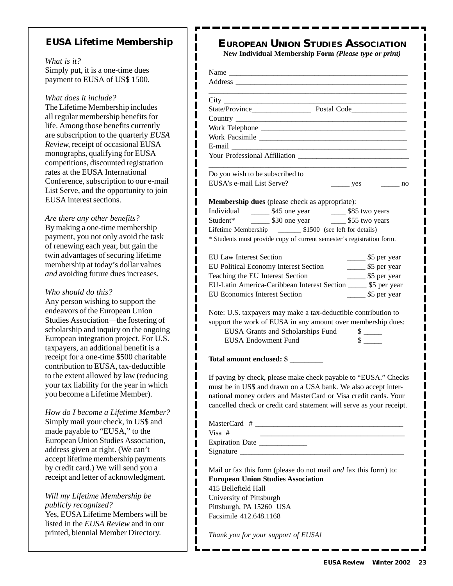# **EUSA Lifetime Membership**

ı I Ī ı I

> ı Ι ı

ı ı ı

> I ı Π

I

Π ı

ı Ι ı Ι I ı ı ı

ı

ı I Π

ı

ı I I ı

*What is it?* Simply put, it is a one-time dues payment to EUSA of US\$ 1500.

*What does it include?*

The Lifetime Membership includes all regular membership benefits for life. Among those benefits currently are subscription to the quarterly *EUSA Review,* receipt of occasional EUSA monographs, qualifying for EUSA competitions, discounted registration rates at the EUSA International Conference, subscription to our e-mail List Serve, and the opportunity to join EUSA interest sections.

### *Are there any other benefits?*

By making a one-time membership payment, you not only avoid the task of renewing each year, but gain the twin advantages of securing lifetime membership at today's dollar values *and* avoiding future dues increases.

*Who should do this?*

Any person wishing to support the endeavors of the European Union Studies Association—the fostering of scholarship and inquiry on the ongoing European integration project. For U.S. taxpayers, an additional benefit is a receipt for a one-time \$500 charitable contribution to EUSA, tax-deductible to the extent allowed by law (reducing your tax liability for the year in which you become a Lifetime Member).

*How do I become a Lifetime Member?* Simply mail your check, in US\$ and made payable to "EUSA," to the European Union Studies Association, address given at right. (We can't accept lifetime membership payments by credit card.) We will send you a receipt and letter of acknowledgment.

*Will my Lifetime Membership be publicly recognized?* Yes, EUSA Lifetime Members will be

listed in the *EUSA Review* and in our printed, biennial Member Directory.

# **EUROPEAN UNION STUDIES ASSOCIATION**

New Individual Membership Form *(Please type or print)* 

|                                                                 | Work Facsimile                                                                                                                                                                        |
|-----------------------------------------------------------------|---------------------------------------------------------------------------------------------------------------------------------------------------------------------------------------|
| E-mail                                                          |                                                                                                                                                                                       |
|                                                                 |                                                                                                                                                                                       |
| Do you wish to be subscribed to                                 |                                                                                                                                                                                       |
| EUSA's e-mail List Serve?                                       | $\frac{\ }{\ }$ yes $\frac{\ }{\ }$ no                                                                                                                                                |
|                                                                 |                                                                                                                                                                                       |
| Membership dues (please check as appropriate):                  |                                                                                                                                                                                       |
|                                                                 |                                                                                                                                                                                       |
|                                                                 |                                                                                                                                                                                       |
|                                                                 |                                                                                                                                                                                       |
|                                                                 | * Students must provide copy of current semester's registration form.                                                                                                                 |
|                                                                 |                                                                                                                                                                                       |
| <b>EU Law Interest Section</b>                                  | ________ \$5 per year                                                                                                                                                                 |
| EU Political Economy Interest Section                           | _______ \$5 per year                                                                                                                                                                  |
| Teaching the EU Interest Section                                | _______ \$5 per year                                                                                                                                                                  |
|                                                                 | EU-Latin America-Caribbean Interest Section ______ \$5 per year                                                                                                                       |
| <b>EU Economics Interest Section</b>                            |                                                                                                                                                                                       |
|                                                                 | $\frac{1}{2}$ \$5 per year                                                                                                                                                            |
| EUSA Grants and Scholarships Fund<br><b>EUSA Endowment Fund</b> | Note: U.S. taxpayers may make a tax-deductible contribution to<br>support the work of EUSA in any amount over membership dues:<br>$\frac{\text{S}}{\text{S}}$<br>$\frac{\sqrt{2}}{2}$ |
| Total amount enclosed: \$                                       |                                                                                                                                                                                       |
|                                                                 |                                                                                                                                                                                       |
|                                                                 | If paying by check, please make check payable to "EUSA." Checks                                                                                                                       |
|                                                                 | must be in US\$ and drawn on a USA bank. We also accept inter-                                                                                                                        |
|                                                                 | national money orders and MasterCard or Visa credit cards. Your                                                                                                                       |
|                                                                 | cancelled check or credit card statement will serve as your receipt.                                                                                                                  |
|                                                                 |                                                                                                                                                                                       |
| $V$ isa #                                                       |                                                                                                                                                                                       |
|                                                                 |                                                                                                                                                                                       |
| Expiration Date _______________                                 |                                                                                                                                                                                       |
|                                                                 |                                                                                                                                                                                       |
|                                                                 |                                                                                                                                                                                       |
| <b>European Union Studies Association</b>                       | Mail or fax this form (please do not mail and fax this form) to:                                                                                                                      |
| 415 Bellefield Hall                                             |                                                                                                                                                                                       |
|                                                                 |                                                                                                                                                                                       |
| University of Pittsburgh                                        |                                                                                                                                                                                       |
| Pittsburgh, PA 15260 USA                                        |                                                                                                                                                                                       |
| Facsimile 412.648.1168                                          |                                                                                                                                                                                       |
|                                                                 |                                                                                                                                                                                       |
| Thank you for your support of EUSA!                             |                                                                                                                                                                                       |